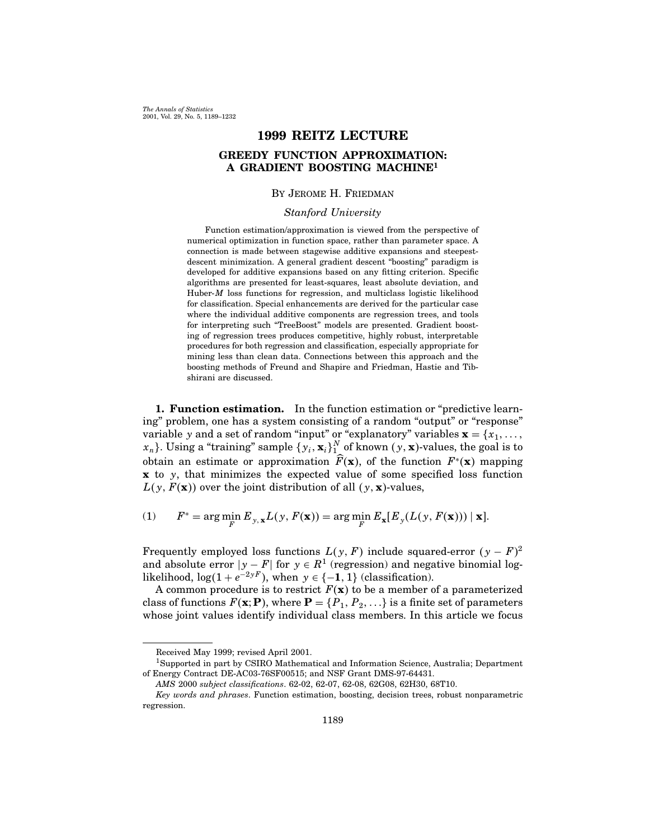The Annals of Statistics 2001, Vol. 29, No. 5, 1189–1232

# 1999 REITZ LECTURE GREEDY FUNCTION APPROXIMATION: A GRADIENT BOOSTING MACHINE<sup>1</sup>

### By Jerome H. Friedman

### Stanford University

Function estimation/approximation is viewed from the perspective of numerical optimization in function space, rather than parameter space. A connection is made between stagewise additive expansions and steepestdescent minimization. A general gradient descent "boosting" paradigm is developed for additive expansions based on any fitting criterion. Specific algorithms are presented for least-squares, least absolute deviation, and Huber- $M$  loss functions for regression, and multiclass logistic likelihood for classification. Special enhancements are derived for the particular case where the individual additive components are regression trees, and tools for interpreting such "TreeBoost" models are presented. Gradient boosting of regression trees produces competitive, highly robust, interpretable procedures for both regression and classification, especially appropriate for mining less than clean data. Connections between this approach and the boosting methods of Freund and Shapire and Friedman, Hastie and Tibshirani are discussed.

1. Function estimation. In the function estimation or "predictive learning" problem, one has a system consisting of a random "output" or "response" variable y and a set of random "input" or "explanatory" variables  $\mathbf{x} = \{x_1, \ldots, x_n\}$  $\{x_n\}$ . Using a "training" sample  $\{y_i, \mathbf{x}_i\}_{1}^{N}$  of known  $(y, \mathbf{x})$ -values, the goal is to obtain an estimate or approximation  $\widehat{F}(\mathbf{x})$ , of the function  $F^*(\mathbf{x})$  mapping  $x$  to y, that minimizes the expected value of some specified loss function  $L(y, F(\mathbf{x}))$  over the joint distribution of all  $(y, \mathbf{x})$ -values,

(1) 
$$
F^* = \arg\min_{F} E_{y, \mathbf{x}} L(y, F(\mathbf{x})) = \arg\min_{F} E_{\mathbf{x}} [E_{y}(L(y, F(\mathbf{x}))) | \mathbf{x}].
$$

Frequently employed loss functions  $L(y, F)$  include squared-error  $(y - F)^2$ and absolute error  $y - F$  for  $y \in R<sup>1</sup>$  (regression) and negative binomial loglikelihood,  $log(1 + e^{-2yF})$ , when  $y \in \{-1, 1\}$  (classification).

A common procedure is to restrict  $F(\mathbf{x})$  to be a member of a parameterized class of functions  $F(\mathbf{x}; \mathbf{P})$ , where  $\mathbf{P} = \{P_1, P_2, \ldots\}$  is a finite set of parameters whose joint values identify individual class members. In this article we focus

Received May 1999; revised April 2001.

<sup>1</sup>Supported in part by CSIRO Mathematical and Information Science, Australia; Department ofEnergy Contract DE-AC03-76SF00515; and NSF Grant DMS-97-64431.

AMS 2000 subject classifications. 62-02, 62-07, 62-08, 62G08, 62H30, 68T10.

Key words and phrases. Function estimation, boosting, decision trees, robust nonparametric regression.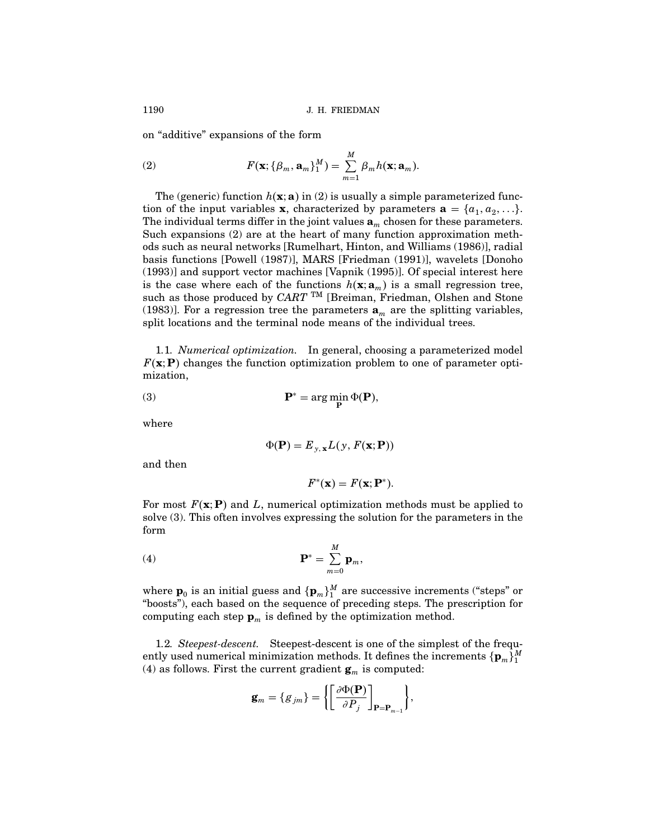on "additive" expansions of the form

(2) 
$$
F(\mathbf{x}; {\beta_m, \mathbf{a}_m}_1^M) = \sum_{m=1}^M \beta_m h(\mathbf{x}; \mathbf{a}_m).
$$

The (generic) function  $h(\mathbf{x}; \mathbf{a})$  in (2) is usually a simple parameterized function of the input variables **x**, characterized by parameters  $\mathbf{a} = \{a_1, a_2, \ldots\}$ . The individual terms differ in the joint values  $\mathbf{a}_m$  chosen for these parameters. Such expansions  $(2)$  are at the heart of many function approximation methods such as neural networks [Rumelhart, Hinton, and Williams (1986)], radial basis functions [Powell (1987)], MARS [Friedman (1991)], wavelets [Donoho  $(1993)$ ] and support vector machines [Vapnik  $(1995)$ ]. Of special interest here is the case where each of the functions  $h(\mathbf{x}; \mathbf{a}_m)$  is a small regression tree, such as those produced by CART<sup>TM</sup> [Breiman, Friedman, Olshen and Stone (1983)]. For a regression tree the parameters  $a_m$  are the splitting variables, split locations and the terminal node means of the individual trees.

1.1. Numerical optimization. In general, choosing a parameterized model  $F(\mathbf{x}; P)$  changes the function optimization problem to one of parameter optimization,

(3) 
$$
\mathbf{P}^* = \arg\min_{\mathbf{P}} \Phi(\mathbf{P}),
$$

where

$$
\Phi(\mathbf{P}) = E_{y, \mathbf{x}} L(y, F(\mathbf{x}; \mathbf{P}))
$$

and then

$$
F^*(\mathbf{x})=F(\mathbf{x};\mathbf{P}^*).
$$

For most  $F(\mathbf{x}; \mathbf{P})$  and L, numerical optimization methods must be applied to solve (3). This often involves expressing the solution for the parameters in the form

$$
\mathbf{P}^* = \sum_{m=0}^M \mathbf{p}_m,
$$

where  $\mathbf{p}_0$  is an initial guess and  $\{\mathbf{p}_m\}_{1}^M$  are successive increments ("steps" or "boosts"), each based on the sequence of preceding steps. The prescription for computing each step  $\mathbf{p}_m$  is defined by the optimization method.

1.2. Steepest-descent. Steepest-descent is one of the simplest of the frequently used numerical minimization methods. It defines the increments  $\{\mathbf{p}_m\}_1^M$ (4) as follows. First the current gradient  $\mathbf{g}_m$  is computed:

$$
\mathbf{g}_m = \{g_{jm}\} = \left\{ \left[\frac{\partial \Phi(\mathbf{P})}{\partial P_j}\right]_{\mathbf{P} = \mathbf{P}_{m-1}} \right\},\
$$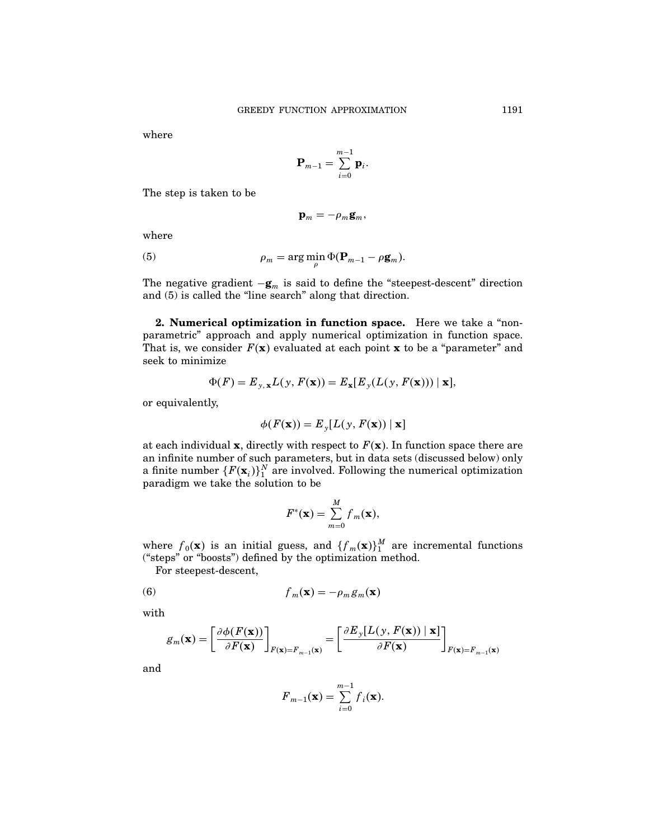where

$$
\mathbf{P}_{m-1} = \sum_{i=0}^{m-1} \mathbf{p}_i.
$$

The step is taken to be

$$
\mathbf{p}_m=-\rho_m\mathbf{g}_m,
$$

where

(5) 
$$
\rho_m = \arg\min_{\rho} \Phi(\mathbf{P}_{m-1} - \rho \mathbf{g}_m).
$$

The negative gradient  $-g_m$  is said to define the "steepest-descent" direction and (5) is called the "line search" along that direction.

2. Numerical optimization in function space. Here we take a "nonparametric" approach and apply numerical optimization in function space. That is, we consider  $F(\mathbf{x})$  evaluated at each point **x** to be a "parameter" and seek to minimize

$$
\Phi(F) = E_{y, \mathbf{x}} L(y, F(\mathbf{x})) = E_{\mathbf{x}}[E_y(L(y, F(\mathbf{x}))) \mid \mathbf{x}],
$$

or equivalently,

$$
\phi(F(\mathbf{x})) = E_y[L(y, F(\mathbf{x})) | \mathbf{x}]
$$

at each individual **x**, directly with respect to  $F(\mathbf{x})$ . In function space there are an infinite number of such parameters, but in data sets (discussed below) only a finite number  $\{F(\mathbf{x}_i)\}_1^N$  are involved. Following the numerical optimization paradigm we take the solution to be

$$
F^*(\mathbf{x}) = \sum_{m=0}^M f_m(\mathbf{x}),
$$

where  $f_0(\mathbf{x})$  is an initial guess, and  $\{f_m(\mathbf{x})\}^M$  are incremental functions ("steps" or "boosts") defined by the optimization method.

For steepest-descent,

(6) 
$$
f_m(\mathbf{x}) = -\rho_m g_m(\mathbf{x})
$$

with

$$
g_m(\mathbf{x}) = \left[\frac{\partial \phi(F(\mathbf{x}))}{\partial F(\mathbf{x})}\right]_{F(\mathbf{x})=F_{m-1}(\mathbf{x})} = \left[\frac{\partial E_y[L(y, F(\mathbf{x})) \mid \mathbf{x}]}{\partial F(\mathbf{x})}\right]_{F(\mathbf{x})=F_{m-1}(\mathbf{x})}
$$

and

$$
\boldsymbol{F}_{m-1}(\mathbf{x}) = \sum_{i=0}^{m-1} \boldsymbol{f}_i(\mathbf{x}).
$$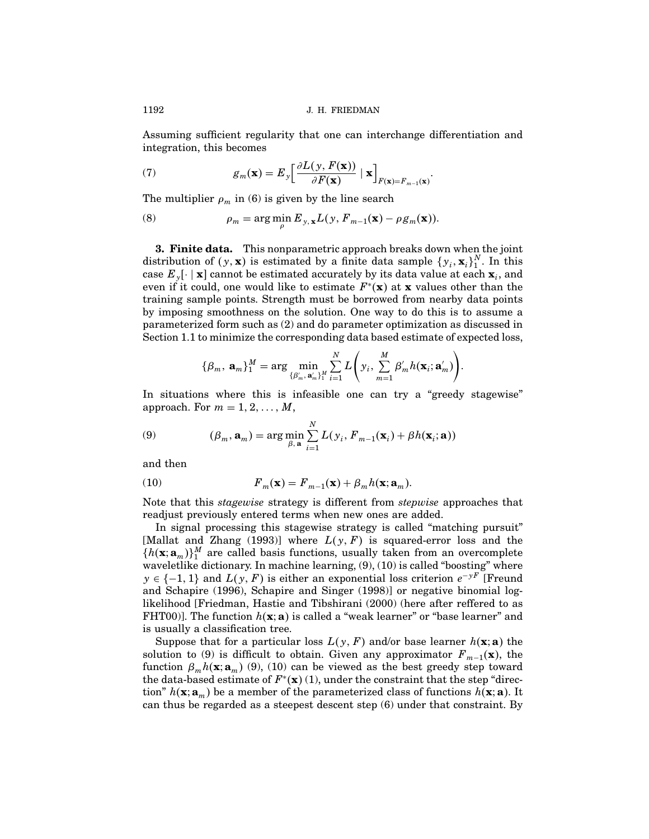Assuming sufficient regularity that one can interchange differentiation and integration, this becomes

(7) 
$$
g_m(\mathbf{x}) = E_y \left[ \frac{\partial L(y, F(\mathbf{x}))}{\partial F(\mathbf{x})} \mid \mathbf{x} \right]_{F(\mathbf{x}) = F_{m-1}(\mathbf{x})}.
$$

The multiplier  $\rho_m$  in (6) is given by the line search

(8) 
$$
\rho_m = \arg\min_{\rho} E_{y, \mathbf{x}} L(y, F_{m-1}(\mathbf{x}) - \rho g_m(\mathbf{x})).
$$

**3. Finite data.** This nonparametric approach breaks down when the joint distribution of  $(y, \mathbf{x})$  is estimated by a finite data sample  $\{y_i, \mathbf{x}_i\}_{1}^{N}$ . In this case  $E_y[\cdot \mid \mathbf{x}]$  cannot be estimated accurately by its data value at each  $\mathbf{x}_i$ , and even if it could, one would like to estimate  $F^*(\mathbf{x})$  at x values other than the training sample points. Strength must be borrowed from nearby data points by imposing smoothness on the solution. One way to do this is to assume a parameterized form such as (2) and do parameter optimization as discussed in Section 1.1 to minimize the corresponding data based estimate of expected loss,

$$
\{\beta_m, \, \mathbf{a}_m\}_1^M = \arg\min_{\{\beta'_m, \, \mathbf{a}'_m\}_1^M} \sum_{i=1}^N L\left(y_i, \, \sum_{m=1}^M \beta'_m h(\mathbf{x}_i; \mathbf{a}'_m)\right)
$$

 $\ddot{\phantom{0}}$ 

In situations where this is infeasible one can try a "greedy stagewise" approach. For  $m = 1, 2, \ldots, M$ ,

(9) 
$$
(\beta_m, \mathbf{a}_m) = \arg \min_{\beta, \mathbf{a}} \sum_{i=1}^N L(y_i, F_{m-1}(\mathbf{x}_i) + \beta h(\mathbf{x}_i; \mathbf{a}))
$$

and then

(10) 
$$
F_m(\mathbf{x}) = F_{m-1}(\mathbf{x}) + \beta_m h(\mathbf{x}; \mathbf{a}_m).
$$

Note that this stagewise strategy is different from stepwise approaches that readjust previously entered terms when new ones are added.

In signal processing this stagewise strategy is called "matching pursuit" [Mallat and Zhang (1993)] where  $L(y, F)$  is squared-error loss and the  $\{h(\mathbf{x}; \mathbf{a}_m)\}_{1}^{M}$  are called basis functions, usually taken from an overcomplete waveletlike dictionary. In machine learning, (9), (10) is called "boosting" where  $y \in \{-1, 1\}$  and  $L(y, F)$  is either an exponential loss criterion  $e^{-yF}$  [Freund and Schapire (1996), Schapire and Singer (1998)] or negative binomial loglikelihood [Friedman, Hastie and Tibshirani (2000) (here after reffered to as FHT00). The function  $h(\mathbf{x}; \mathbf{a})$  is called a "weak learner" or "base learner" and is usually a classification tree.

Suppose that for a particular loss  $L(y, F)$  and/or base learner  $h(\mathbf{x}; \mathbf{a})$  the solution to (9) is difficult to obtain. Given any approximator  $F_{m-1}(\mathbf{x})$ , the function  $\beta_m h(\mathbf{x}; \mathbf{a}_m)$  (9), (10) can be viewed as the best greedy step toward the data-based estimate of  $F^*(\mathbf{x})$  (1), under the constraint that the step "direction"  $h(\mathbf{x}; \mathbf{a}_m)$  be a member of the parameterized class of functions  $h(\mathbf{x}; \mathbf{a})$ . It can thus be regarded as a steepest descent step (6) under that constraint. By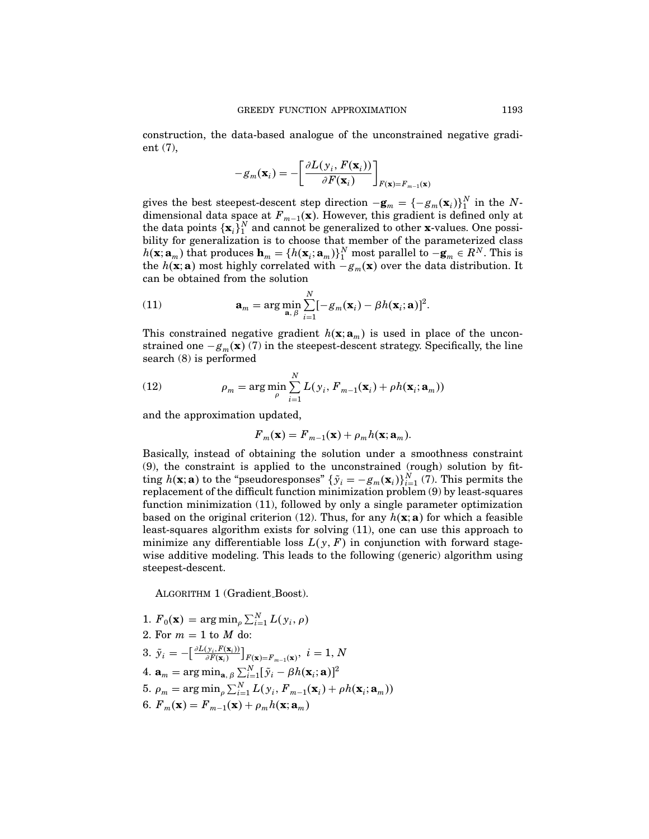construction, the data-based analogue of the unconstrained negative gradient (7),

$$
-g_m(\mathbf{x}_i) = -\left[\frac{\partial L(y_i, F(\mathbf{x}_i))}{\partial F(\mathbf{x}_i)}\right]_{F(\mathbf{x})=F_{m-1}(\mathbf{x})}
$$

gives the best steepest-descent step direction  $-\mathbf{g}_m = \{-g_m(\mathbf{x}_i)\}_1^N$  in the Ndimensional data space at  $F_{m-1}(\mathbf{x})$ . However, this gradient is defined only at the data points  $\{x_i\}^N_1$  and cannot be generalized to other x-values. One possibility for generalization is to choose that member of the parameterized class  $h(\mathbf{x}; \mathbf{a}_m)$  that produces  $\mathbf{h}_m = \{h(\mathbf{x}_i; \mathbf{a}_m)\}_1^N$  most parallel to  $-\mathbf{g}_m \in R^N$ . This is the  $h(\mathbf{x}; \mathbf{a})$  most highly correlated with  $-g_m(\mathbf{x})$  over the data distribution. It can be obtained from the solution

(11) 
$$
\mathbf{a}_m = \arg \min_{\mathbf{a}, \beta} \sum_{i=1}^N [-g_m(\mathbf{x}_i) - \beta h(\mathbf{x}_i; \mathbf{a})]^2.
$$

This constrained negative gradient  $h(\mathbf{x}; \mathbf{a}_m)$  is used in place of the unconstrained one  $-g_m(\mathbf{x})$  (7) in the steepest-descent strategy. Specifically, the line search (8) is performed

(12) 
$$
\rho_m = \arg\min_{\rho} \sum_{i=1}^{N} L(y_i, F_{m-1}(\mathbf{x}_i) + \rho h(\mathbf{x}_i; \mathbf{a}_m))
$$

and the approximation updated,

$$
F_m(\mathbf{x}) = F_{m-1}(\mathbf{x}) + \rho_m h(\mathbf{x}; \mathbf{a}_m).
$$

Basically, instead of obtaining the solution under a smoothness constraint (9), the constraint is applied to the unconstrained (rough) solution by fitting  $h(\mathbf{x}; \mathbf{a})$  to the "pseudoresponses"  $\{\tilde{y}_i = -g_m(\mathbf{x}_i)\}_{i=1}^N$  (7). This permits the replacement of the difficult function minimization problem (9) by least-squares function minimization (11), followed by only a single parameter optimization based on the original criterion (12). Thus, for any  $h(\mathbf{x}; \mathbf{a})$  for which a feasible least-squares algorithm exists for solving (11), one can use this approach to minimize any differentiable loss  $L(y, F)$  in conjunction with forward stagewise additive modeling. This leads to the following (generic) algorithm using steepest-descent.

ALGORITHM 1 (Gradient\_Boost).

1. 
$$
F_0(\mathbf{x}) = \arg \min_{\rho} \sum_{i=1}^{N} L(y_i, \rho)
$$
  
\n2. For  $m = 1$  to  $M$  do:  
\n3.  $\tilde{y}_i = -\left[\frac{\partial L(y_i, F(\mathbf{x}_i))}{\partial F(\mathbf{x}_i)}\right]_{F(\mathbf{x})=F_{m-1}(\mathbf{x})}, i = 1, N$   
\n4.  $\mathbf{a}_m = \arg \min_{\mathbf{a}, \beta} \sum_{i=1}^{N} [\tilde{y}_i - \beta h(\mathbf{x}_i; \mathbf{a})]^2$   
\n5.  $\rho_m = \arg \min_{\rho} \sum_{i=1}^{N} L(y_i, F_{m-1}(\mathbf{x}_i) + \rho h(\mathbf{x}_i; \mathbf{a}_m))$   
\n6.  $F_m(\mathbf{x}) = F_{m-1}(\mathbf{x}) + \rho_m h(\mathbf{x}; \mathbf{a}_m)$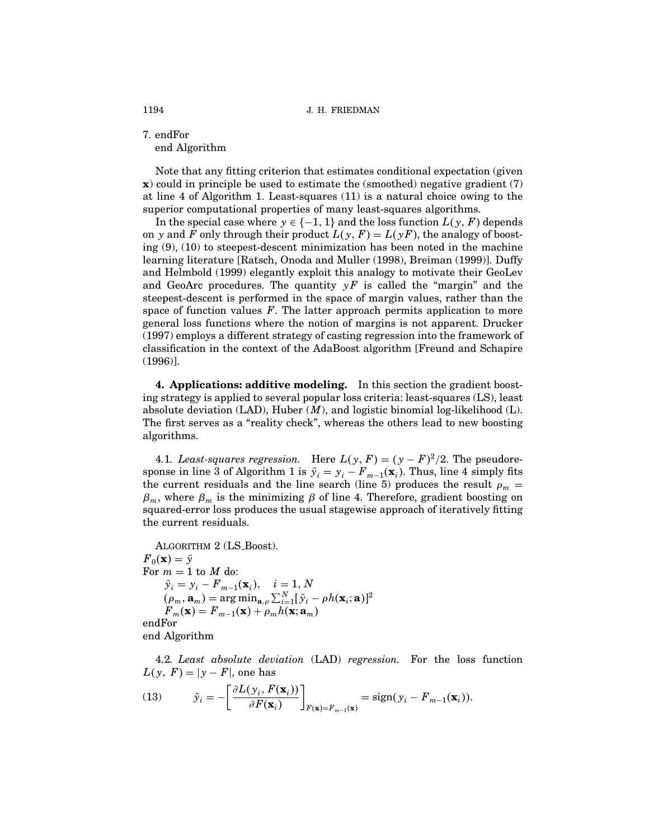7. endFor end Algorithm

Note that any fitting criterion that estimates conditional expectation (given x) could in principle be used to estimate the (smoothed) negative gradient (7) at line 4 of Algorithm 1. Least-squares  $(11)$  is a natural choice owing to the superior computational properties of many least-squares algorithms.

In the special case where  $y \in \{-1, 1\}$  and the loss function  $L(y, F)$  depends on y and F only through their product  $L(y, F) = L(yF)$ , the analogy of boosting (9), (10) to steepest-descent minimization has been noted in the machine learning literature [Ratsch, Onoda and Muller (1998), Breiman (1999)]. Duffy and Helmbold (1999) elegantly exploit this analogy to motivate their GeoLev and GeoArc procedures. The quantity  $yF$  is called the "margin" and the steepest-descent is performed in the space of margin values, rather than the space of function values  $F$ . The latter approach permits application to more general loss functions where the notion of margins is not apparent. Drucker (1997) employs a different strategy of casting regression into the framework of classification in the context of the AdaBoost algorithm [Freund and Schapire (1996)].

4. Applications: additive modeling. In this section the gradient boosting strategy is applied to several popular loss criteria: least-squares (LS), least absolute deviation (LAD), Huber  $(M)$ , and logistic binomial log-likelihood (L). The first serves as a "reality check", whereas the others lead to new boosting algorithms.

4.1. Least-squares regression. Here  $L(y, F) = (y - F)^2/2$ . The pseudoresponse in line 3 of Algorithm 1 is  $\tilde{y}_i = y_i - F_{m-1}(\mathbf{x}_i)$ . Thus, line 4 simply fits the current residuals and the line search (line 5) produces the result  $\rho_m$  =  $\beta_m$ , where  $\beta_m$  is the minimizing  $\beta$  of line 4. Therefore, gradient boosting on squared-error loss produces the usual stagewise approach of iteratively fitting the current residuals.

ALGORITHM 2 (LS\_Boost).  $F_0(\mathbf{x})=\bar{y}$ For  $m = 1$  to  $M$  do:  $\tilde{y}_i = y_i - F_{m-1}(\mathbf{x}_i), \quad i = 1, N$  $(\rho_m, \mathbf{a}_m) = \arg \min_{\mathbf{a}, \rho} \sum_{i=1}^N [\tilde{y}_i - \rho h(\mathbf{x}_i; \mathbf{a})]^2$  ${F}_m(\mathbf{x})={F}_{m-1}(\mathbf{x})+\rho_m h(\mathbf{x};\mathbf{a}_m)$ endFor

end Algorithm

4.2. Least absolute deviation (LAD) regression. For the loss function  $L(y, F) = |y - F|$ , one has

(13) 
$$
\tilde{y}_i = -\left[\frac{\partial L(y_i, F(\mathbf{x}_i))}{\partial F(\mathbf{x}_i)}\right]_{F(\mathbf{x})=F_{m-1}(\mathbf{x})} = \text{sign}(y_i - F_{m-1}(\mathbf{x}_i)).
$$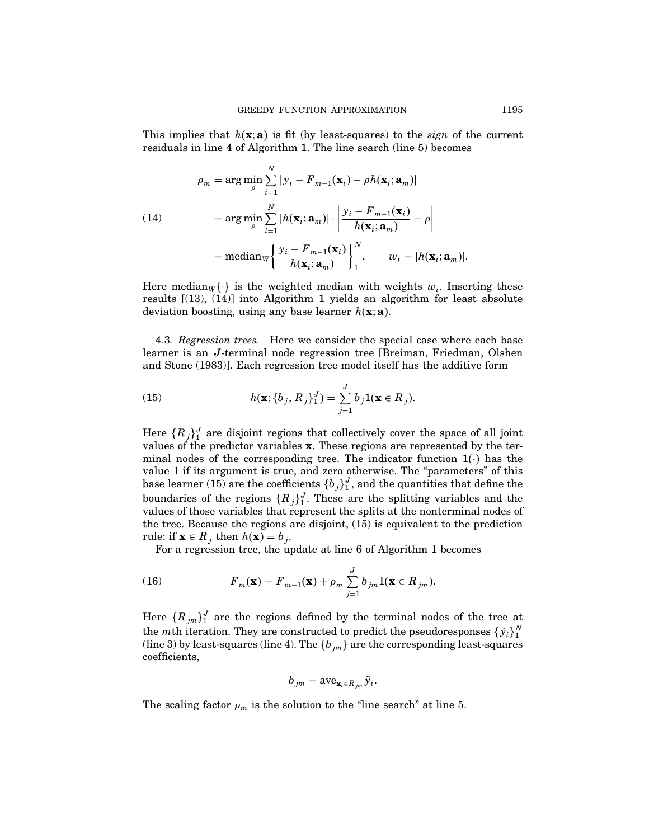This implies that  $h(\mathbf{x}; \mathbf{a})$  is fit (by least-squares) to the *sign* of the current residuals in line 4 of Algorithm 1. The line search (line 5) becomes

(14)  
\n
$$
\rho_m = \arg \min_{\rho} \sum_{i=1}^{N} |y_i - F_{m-1}(\mathbf{x}_i) - \rho h(\mathbf{x}_i; \mathbf{a}_m)|
$$
\n
$$
= \arg \min_{\rho} \sum_{i=1}^{N} |h(\mathbf{x}_i; \mathbf{a}_m)| \cdot \left| \frac{y_i - F_{m-1}(\mathbf{x}_i)}{h(\mathbf{x}_i; \mathbf{a}_m)} - \rho \right|
$$
\n
$$
= \text{median}_{W} \left\{ \frac{y_i - F_{m-1}(\mathbf{x}_i)}{h(\mathbf{x}_i; \mathbf{a}_m)} \right\}_{1}^{N}, \qquad w_i = |h(\mathbf{x}_i; \mathbf{a}_m)|.
$$

Here median<sub>W</sub> $\{\cdot\}$  is the weighted median with weights  $w_i$ . Inserting these results [(13), (14)] into Algorithm 1 yields an algorithm for least absolute deviation boosting, using any base learner  $h(\mathbf{x}; \mathbf{a})$ .

4.3. Regression trees. Here we consider the special case where each base learner is an J-terminal node regression tree [Breiman, Friedman, Olshen and Stone (1983)]. Each regression tree model itselfhas the additive form

(15) 
$$
h(\mathbf{x}; \{b_j, R_j\}_1^J) = \sum_{j=1}^J b_j \mathbf{1}(\mathbf{x} \in R_j).
$$

Here  $\{R_j\}^J_1$  are disjoint regions that collectively cover the space of all joint values of the predictor variables  $x$ . These regions are represented by the terminal nodes of the corresponding tree. The indicator function  $1(\cdot)$  has the value 1 if its argument is true, and zero otherwise. The "parameters" of this base learner (15) are the coefficients  $\{b_j\}_1^J$ , and the quantities that define the boundaries of the regions  $\{R_j\}_1^J$ . These are the splitting variables and the values ofthose variables that represent the splits at the nonterminal nodes of the tree. Because the regions are disjoint, (15) is equivalent to the prediction rule: if  $\mathbf{x} \in R_i$  then  $h(\mathbf{x}) = b_i$ .

For a regression tree, the update at line 6 of Algorithm 1 becomes

(16) 
$$
F_m(\mathbf{x}) = F_{m-1}(\mathbf{x}) + \rho_m \sum_{j=1}^J b_{jm} \mathbb{1}(\mathbf{x} \in R_{jm}).
$$

Here  ${R_{jm}}_1^J$  are the regions defined by the terminal nodes of the tree at the *mth* iteration. They are constructed to predict the pseudoresponses  $\{\tilde{y}_i\}_1^N$ (line 3) by least-squares (line 4). The  $\{b_{jm}\}$  are the corresponding least-squares coefficients,

$$
b_{jm} = \mathrm{ave}_{\mathbf{x}_i \in R_{jm}} \tilde{y}_i.
$$

The scaling factor  $\rho_m$  is the solution to the "line search" at line 5.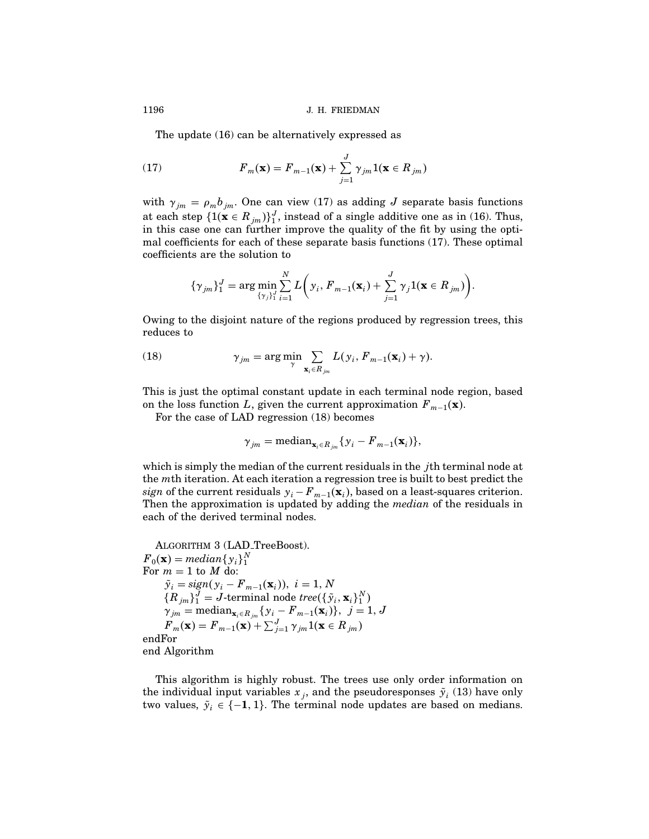The update (16) can be alternatively expressed as

(17) 
$$
F_m(\mathbf{x}) = F_{m-1}(\mathbf{x}) + \sum_{j=1}^{J} \gamma_{jm} \mathbf{1}(\mathbf{x} \in R_{jm})
$$

with  $\gamma_{jm} = \rho_m b_{jm}$ . One can view (17) as adding J separate basis functions at each step  $\{1(\mathbf{x} \in R_{jm})\}_{1}^{J}$ , instead of a single additive one as in (16). Thus, in this case one can further improve the quality of the fit by using the optimal coefficients for each of these separate basis functions (17). These optimal coefficients are the solution to

$$
\{\gamma_{jm}\}_{1}^{J} = \arg \min_{\{\gamma_j\}_{1}^{J}} \sum_{i=1}^{N} L\bigg(y_i, F_{m-1}(\mathbf{x}_i) + \sum_{j=1}^{J} \gamma_j 1(\mathbf{x} \in R_{jm})\bigg).
$$

Owing to the disjoint nature of the regions produced by regression trees, this reduces to

(18) 
$$
\gamma_{jm} = \arg\min_{\gamma} \sum_{\mathbf{x}_i \in R_{jm}} L(y_i, F_{m-1}(\mathbf{x}_i) + \gamma).
$$

This is just the optimal constant update in each terminal node region, based on the loss function L, given the current approximation  $F_{m-1}(\mathbf{x})$ .

For the case of LAD regression (18) becomes

$$
\gamma_{jm} = \text{median}_{\mathbf{x}_i \in R_{jm}} \{ y_i - F_{m-1}(\mathbf{x}_i) \},\
$$

which is simply the median of the current residuals in the *j*th terminal node at the mth iteration. At each iteration a regression tree is built to best predict the sign of the current residuals  $y_i - F_{m-1}(\mathbf{x}_i)$ , based on a least-squares criterion. Then the approximation is updated by adding the *median* of the residuals in each of the derived terminal nodes.

ALGORITHM 3 (LAD\_TreeBoost).  $F_0(\mathbf{x}) = median\{y_i\}_1^N$ For  $m = 1$  to  $M$  do:  $\tilde{y}_i = sign(y_i - F_{m-1}(\mathbf{x}_i)), i = 1, N$  ${R_{jm}}_1^J = J$ -terminal node tree $({\{\tilde{y}_i, \mathbf{x}_i\}_1^N})$  ${\gamma}_{jm}=\textrm{median}_{\mathbf{x}_i\in R_{jm}}\{{\gamma}_i - {F}_{m-1}(\mathbf{x}_i)\},\,\,\,j=1,\,J$  ${F}_m(\mathbf{x}) = {F}_{m-1}(\mathbf{x}) + \sum_{j=1}^{J} \gamma_{jm} \mathbb{1}(\mathbf{x} \in R_{jm})$ endFor end Algorithm

This algorithm is highly robust. The trees use only order information on the individual input variables  $x_j$ , and the pseudoresponses  $\tilde{y}_i$  (13) have only two values,  $\tilde{y}_i \in \{-1, 1\}$ . The terminal node updates are based on medians.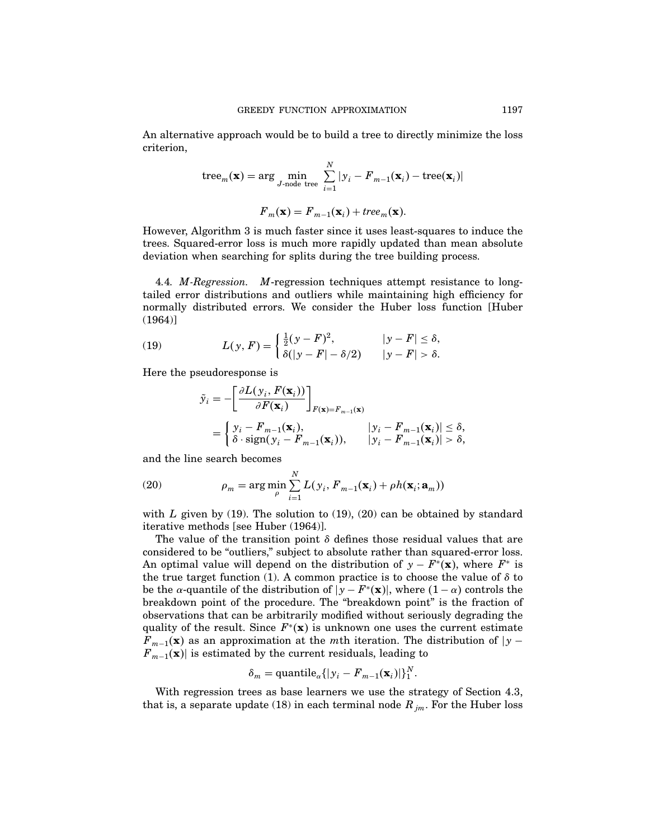An alternative approach would be to build a tree to directly minimize the loss criterion,

tree<sub>m</sub>(**x**) = arg min<sub>J-node tree</sub> 
$$
\sum_{i=1}^{N} |y_i - F_{m-1}(\mathbf{x}_i) - \text{tree}(\mathbf{x}_i)|
$$
  

$$
F_m(\mathbf{x}) = F_{m-1}(\mathbf{x}_i) + tree_m(\mathbf{x}).
$$

However, Algorithm 3 is much faster since it uses least-squares to induce the trees. Squared-error loss is much more rapidly updated than mean absolute deviation when searching for splits during the tree building process.

4.4. M-Regression. M-regression techniques attempt resistance to longtailed error distributions and outliers while maintaining high efficiency for normally distributed errors. We consider the Huber loss function [Huber (1964)]

(19) 
$$
L(y, F) = \begin{cases} \frac{1}{2}(y - F)^2, & |y - F| \le \delta, \\ \delta(|y - F| - \delta/2) & |y - F| > \delta. \end{cases}
$$

Here the pseudoresponse is

$$
\tilde{y}_i = -\left[\frac{\partial L(y_i, F(\mathbf{x}_i))}{\partial F(\mathbf{x}_i)}\right]_{F(\mathbf{x}) = F_{m-1}(\mathbf{x})}
$$
\n
$$
= \begin{cases}\ny_i - F_{m-1}(\mathbf{x}_i), & |y_i - F_{m-1}(\mathbf{x}_i)| \le \delta, \\
\delta \cdot \text{sign}(y_i - F_{m-1}(\mathbf{x}_i)), & |y_i - F_{m-1}(\mathbf{x}_i)| > \delta,\n\end{cases}
$$

and the line search becomes

(20) 
$$
\rho_m = \arg\min_{\rho} \sum_{i=1}^{N} L(y_i, F_{m-1}(\mathbf{x}_i) + \rho h(\mathbf{x}_i; \mathbf{a}_m))
$$

with L given by (19). The solution to (19), (20) can be obtained by standard iterative methods [see Huber (1964)].

The value of the transition point  $\delta$  defines those residual values that are considered to be "outliers," subject to absolute rather than squared-error loss. An optimal value will depend on the distribution of  $y - F^*(\mathbf{x})$ , where  $F^*$  is the true target function (1). A common practice is to choose the value of  $\delta$  to be the  $\alpha$ -quantile of the distribution of  $|y - F^*(\mathbf{x})|$ , where  $(1 - \alpha)$  controls the breakdown point of the procedure. The "breakdown point" is the fraction of observations that can be arbitrarily modified without seriously degrading the quality of the result. Since  $F^*(\mathbf{x})$  is unknown one uses the current estimate  $F_{m-1}(\mathbf{x})$  as an approximation at the mth iteration. The distribution of  $|y F_{m-1}(\mathbf{x})$  is estimated by the current residuals, leading to

$$
\delta_m = \text{quantile}_{\alpha} \{ |y_i - F_{m-1}(\mathbf{x}_i)| \}_{1}^N.
$$

With regression trees as base learners we use the strategy of Section 4.3, that is, a separate update (18) in each terminal node  $R_{jm}$ . For the Huber loss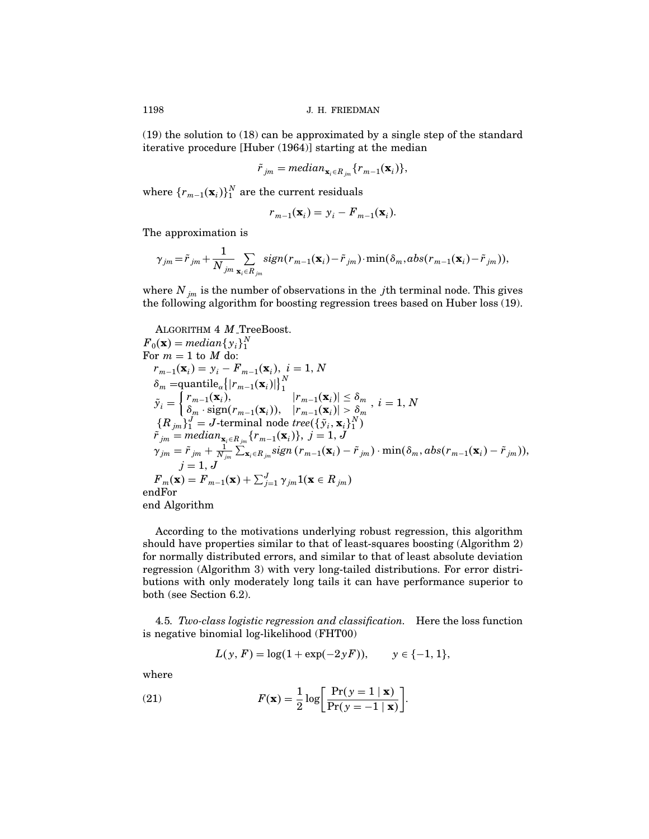$(19)$  the solution to  $(18)$  can be approximated by a single step of the standard iterative procedure [Huber (1964)] starting at the median

$$
\tilde{r}_{jm} = median_{\mathbf{x}_{i} \in R_{jm}}\{r_{m-1}(\mathbf{x}_{i})\},\
$$

where  $\{r_{m-1}(\mathbf{x}_i)\}_1^N$  are the current residuals

$$
r_{m-1}(\mathbf{x}_i) = y_i - F_{m-1}(\mathbf{x}_i).
$$

The approximation is

$$
\gamma_{jm} = \tilde{r}_{jm} + \frac{1}{N_{jm}} \sum_{\mathbf{x}_i \in R_{jm}} sign(r_{m-1}(\mathbf{x}_i) - \tilde{r}_{jm}) \cdot \min(\delta_m, abs(r_{m-1}(\mathbf{x}_i) - \tilde{r}_{jm})),
$$

where  $N_{jm}$  is the number of observations in the *j*th terminal node. This gives the following algorithm for boosting regression trees based on Huber loss (19).

ALGORITHM  $4$   $M$ <sub>-Tree</sub>Boost.

$$
F_0(\mathbf{x}) = median\{y_i\}^N
$$
  
For  $m = 1$  to  $M$  do:  

$$
r_{m-1}(\mathbf{x}_i) = y_i - F_{m-1}(\mathbf{x}_i), i = 1, N
$$

$$
\delta_m = \text{quantile}_{\alpha} \{|r_{m-1}(\mathbf{x}_i)|\}_1^N
$$

$$
\tilde{y}_i = \begin{cases} r_{m-1}(\mathbf{x}_i), & |r_{m-1}(\mathbf{x}_i)| \le \delta_m \\ \delta_m \cdot \text{sign}(r_{m-1}(\mathbf{x}_i)), & |r_{m-1}(\mathbf{x}_i)| > \delta_m \end{cases}, i = 1, N
$$

$$
\{R_{jm}\}_1^J = J\text{-terminal node tree}(\{\tilde{y}_i, \mathbf{x}_i\}_1^N)
$$

$$
\tilde{r}_{jm} = median_{\mathbf{x}_i \in R_{jm}}\{r_{m-1}(\mathbf{x}_i)\}, j = 1, J
$$

$$
\gamma_{jm} = \tilde{r}_{jm} + \frac{1}{N_{jm}} \sum_{\mathbf{x}_i \in R_{jm}} sign(r_{m-1}(\mathbf{x}_i) - \tilde{r}_{jm}) \cdot \min(\delta_m, abs(r_{m-1}(\mathbf{x}_i) - \tilde{r}_{jm})),
$$

$$
j = 1, J
$$

$$
F_m(\mathbf{x}) = F_{m-1}(\mathbf{x}) + \sum_{j=1}^J \gamma_{jm} \mathbf{1}(\mathbf{x} \in R_{jm})
$$

$$
end \text{end Algorithm}
$$

According to the motivations underlying robust regression, this algorithm should have properties similar to that of least-squares boosting (Algorithm 2) for normally distributed errors, and similar to that of least absolute deviation regression (Algorithm 3) with very long-tailed distributions. For error distributions with only moderately long tails it can have performance superior to both (see Section 6.2).

4.5. Two-class logistic regression and classification. Here the loss function is negative binomial log-likelihood (FHT00)

$$
L(y, F) = \log(1 + \exp(-2yF)), \qquad y \in \{-1, 1\},\
$$

where

(21) 
$$
F(\mathbf{x}) = \frac{1}{2} \log \left[ \frac{\Pr(y=1 \mid \mathbf{x})}{\Pr(y=-1 \mid \mathbf{x})} \right].
$$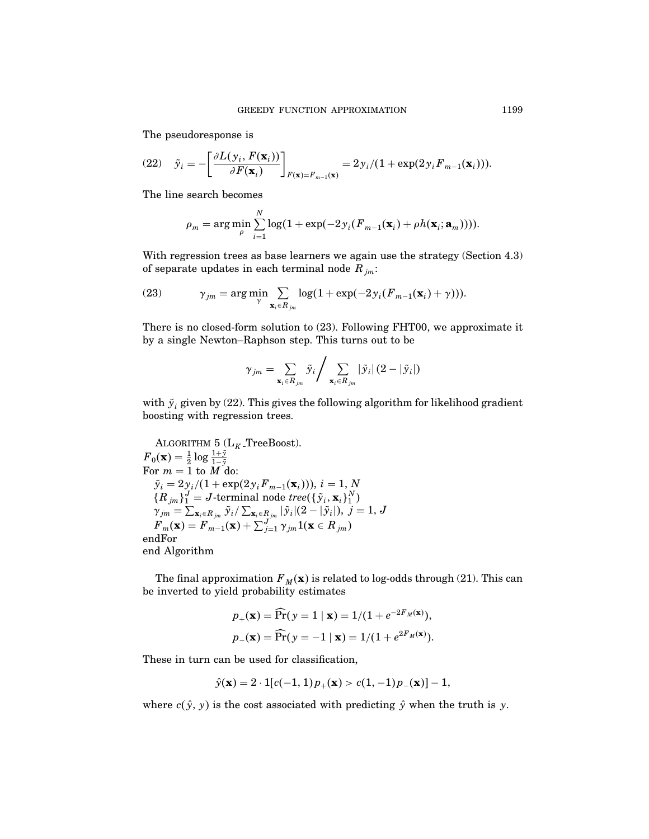The pseudoresponse is

(22) 
$$
\tilde{y}_i = -\left[\frac{\partial L(y_i, F(\mathbf{x}_i))}{\partial F(\mathbf{x}_i)}\right]_{F(\mathbf{x})=F_{m-1}(\mathbf{x})} = 2y_i/(1+\exp(2y_iF_{m-1}(\mathbf{x}_i))).
$$

The line search becomes

$$
\rho_m = \arg\min_{\rho} \sum_{i=1}^N \log(1 + \exp(-2y_i(F_{m-1}(\mathbf{x}_i) + \rho h(\mathbf{x}_i; \mathbf{a}_m)))).
$$

With regression trees as base learners we again use the strategy (Section 4.3) of separate updates in each terminal node  $R_{im}$ :

(23) 
$$
\gamma_{jm} = \arg\min_{\gamma} \sum_{\mathbf{x}_i \in R_{jm}} \log(1 + \exp(-2\gamma_i(F_{m-1}(\mathbf{x}_i) + \gamma))).
$$

There is no closed-form solution to (23). Following FHT00, we approximate it by a single Newton–Raphson step. This turns out to be

$$
\gamma_{jm} = \sum_{\mathbf{x}_i \in R_{jm}} \tilde{y}_i / \sum_{\mathbf{x}_i \in R_{jm}} |\tilde{y}_i| (2 - |\tilde{y}_i|)
$$

with  $\tilde{y}_i$  given by (22). This gives the following algorithm for likelihood gradient boosting with regression trees.

ALGORITHM 5 ( $L_K$ -TreeBoost).  $F_0(\mathbf{x}) = \frac{1}{2} \log \frac{1+\bar{y}}{1-\bar{y}}$ For  $m = 1$  to  $\overline{M}$  do:  $\tilde{y}_i = 2y_i/(1 + \exp(2y_i F_{m-1}(\mathbf{x}_i))), i = 1, N$  ${R_{jm}}_1^J = J$ -terminal node  $tree({\{\tilde{\mathbf{y}}_i, \mathbf{x}_i\}_1^N})$  ${\gamma}_{jm}=\sum_{{\mathbf{x}_i}\in R_{jm}}\tilde{\mathbf{y}}_i/\sum_{{\mathbf{x}_i}\in R_{j m}}|\tilde{\mathbf{y}}_i|(2-|\tilde{\mathbf{y}}_i|),\ j=1,\ J$  $F_m(\mathbf{x}) = F_{m-1}(\mathbf{x}) + \sum_{j=1}^{J} \gamma_{jm} \mathbb{1}(\mathbf{x} \in R_{jm})$ endFor end Algorithm

The final approximation  $F_M(x)$  is related to log-odds through (21). This can be inverted to yield probability estimates

$$
p_{+}(\mathbf{x}) = \widehat{\Pr}(\mathbf{y} = 1 \mid \mathbf{x}) = \frac{1}{1 + e^{-2F_M(\mathbf{x})}},
$$

$$
p_{-}(\mathbf{x}) = \widehat{\Pr}(\mathbf{y} = -1 \mid \mathbf{x}) = \frac{1}{1 + e^{2F_M(\mathbf{x})}}.
$$

These in turn can be used for classification,

$$
\hat{y}(\mathbf{x}) = 2 \cdot 1[c(-1, 1)p_+(\mathbf{x}) > c(1, -1)p_-(\mathbf{x})] - 1,
$$

where  $c(\hat{y}, y)$  is the cost associated with predicting  $\hat{y}$  when the truth is y.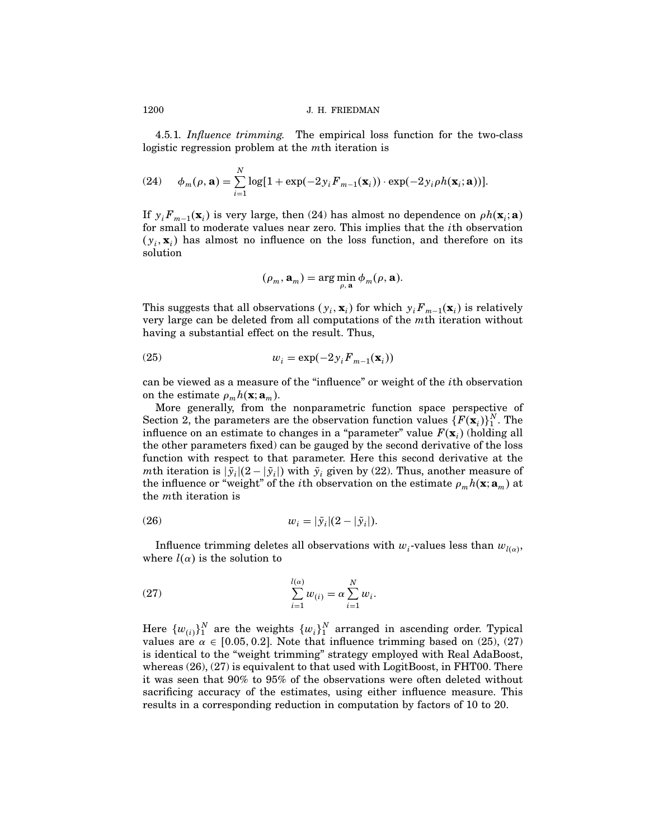4.5.1. Influence trimming. The empirical loss function for the two-class logistic regression problem at the mth iteration is

(24) 
$$
\phi_m(\rho, \mathbf{a}) = \sum_{i=1}^N \log[1 + \exp(-2y_i F_{m-1}(\mathbf{x}_i)) \cdot \exp(-2y_i \rho h(\mathbf{x}_i; \mathbf{a}))].
$$

If  $y_i F_{m-1}(\mathbf{x}_i)$  is very large, then (24) has almost no dependence on  $\rho h(\mathbf{x}_i; \mathbf{a})$ for small to moderate values near zero. This implies that the ith observation  $(y_i, \mathbf{x}_i)$  has almost no influence on the loss function, and therefore on its solution

$$
(\rho_m, \mathbf{a}_m) = \arg\min_{\rho, \mathbf{a}} \phi_m(\rho, \mathbf{a}).
$$

This suggests that all observations  $(y_i, \mathbf{x}_i)$  for which  $y_i F_{m-1}(\mathbf{x}_i)$  is relatively very large can be deleted from all computations of the mth iteration without having a substantial effect on the result. Thus,

$$
(25) \t\t w_i = \exp(-2y_i F_{m-1}(\mathbf{x}_i))
$$

can be viewed as a measure of the "influence" or weight of the *i*th observation on the estimate  $\rho_m h(\mathbf{x}; \mathbf{a}_m)$ .

More generally, from the nonparametric function space perspective of Section 2, the parameters are the observation function values  $\{F(\mathbf{x}_i)\}_1^N$ . The influence on an estimate to changes in a "parameter" value  $F(\mathbf{x}_i)$  (holding all the other parameters fixed) can be gauged by the second derivative ofthe loss function with respect to that parameter. Here this second derivative at the mth iteration is  $|\tilde{y}_i|(2 - |\tilde{y}_i|)$  with  $\tilde{y}_i$  given by (22). Thus, another measure of the influence or "weight" of the *i*th observation on the estimate  $\rho_m h(\mathbf{x}; \mathbf{a}_m)$  at the mth iteration is

$$
(26) \t\t\t w_i = |\tilde{y}_i|(2 - |\tilde{y}_i|).
$$

Influence trimming deletes all observations with  $w_i$ -values less than  $w_{l(\alpha)}$ , where  $l(\alpha)$  is the solution to

(27) 
$$
\sum_{i=1}^{l(\alpha)} w_{(i)} = \alpha \sum_{i=1}^{N} w_i.
$$

Here  $\{w_{(i)}\}_1^N$  are the weights  $\{w_i\}_1^N$  arranged in ascending order. Typical values are  $\alpha \in [0.05, 0.2]$ . Note that influence trimming based on (25), (27) is identical to the "weight trimming" strategy employed with Real AdaBoost, whereas (26), (27) is equivalent to that used with LogitBoost, in FHT00. There it was seen that 90% to 95% of the observations were often deleted without sacrificing accuracy of the estimates, using either influence measure. This results in a corresponding reduction in computation by factors of 10 to 20.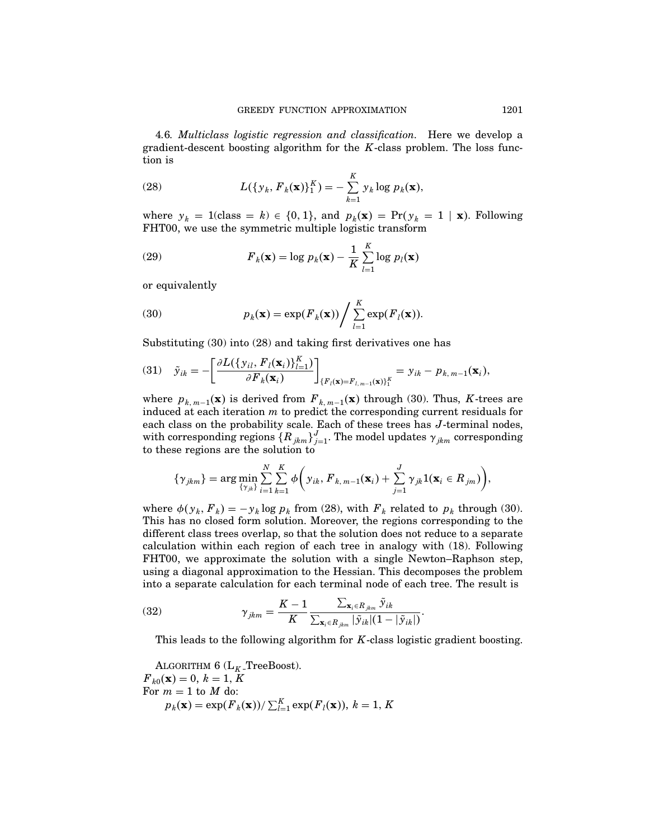4.6. Multiclass logistic regression and classification. Here we develop a gradient-descent boosting algorithm for the  $K$ -class problem. The loss function is

(28) 
$$
L(\{y_k, F_k(\mathbf{x})\}_{1}^K) = -\sum_{k=1}^K y_k \log p_k(\mathbf{x}),
$$

where  $y_k = 1$ (class = k)  $\in \{0, 1\}$ , and  $p_k(\mathbf{x}) = \Pr(y_k = 1 | \mathbf{x})$ . Following FHT00, we use the symmetric multiple logistic transform

(29) 
$$
F_k(\mathbf{x}) = \log p_k(\mathbf{x}) - \frac{1}{K} \sum_{l=1}^{K} \log p_l(\mathbf{x})
$$

or equivalently

(30) 
$$
p_k(\mathbf{x}) = \exp(F_k(\mathbf{x})) / \sum_{l=1}^K \exp(F_l(\mathbf{x})).
$$

Substituting (30) into (28) and taking first derivatives one has

$$
(31) \quad \tilde{\mathbf{y}}_{ik} = -\left[\frac{\partial L(\{\mathbf{y}_{il}, F_l(\mathbf{x}_i)\}_{l=1}^K)}{\partial F_k(\mathbf{x}_i)}\right]_{\{F_l(\mathbf{x}) = F_{l,m-1}(\mathbf{x})\}_{1}^K} = \mathbf{y}_{ik} - p_{k,m-1}(\mathbf{x}_i),
$$

where  $p_{k, m-1}(\mathbf{x})$  is derived from  $F_{k, m-1}(\mathbf{x})$  through (30). Thus, K-trees are induced at each iteration  $m$  to predict the corresponding current residuals for each class on the probability scale. Each of these trees has  $J$ -terminal nodes, with corresponding regions  $\{R_{jkm}\}_{j=1}^J$ . The model updates  $\gamma_{jkm}$  corresponding to these regions are the solution to

$$
\{\gamma_{jkm}\} = \arg\min_{\{\gamma_{jk}\}} \sum_{i=1}^N \sum_{k=1}^K \phi\bigg(\gamma_{ik}, F_{k,m-1}(\mathbf{x}_i) + \sum_{j=1}^J \gamma_{jk} \mathbf{1}(\mathbf{x}_i \in R_{jm})\bigg),
$$

where  $\phi(y_k, F_k) = -y_k \log p_k$  from (28), with  $F_k$  related to  $p_k$  through (30). This has no closed form solution. Moreover, the regions corresponding to the different class trees overlap, so that the solution does not reduce to a separate calculation within each region of each tree in analogy with  $(18)$ . Following FHT00, we approximate the solution with a single Newton–Raphson step, using a diagonal approximation to the Hessian. This decomposes the problem into a separate calculation for each terminal node of each tree. The result is

(32) 
$$
\gamma_{jkm} = \frac{K-1}{K} \frac{\sum_{\mathbf{x}_i \in R_{jkm}} \tilde{y}_{ik}}{\sum_{\mathbf{x}_i \in R_{jkm}} |\tilde{y}_{ik}| (1-|\tilde{y}_{ik}|)}.
$$

This leads to the following algorithm for K-class logistic gradient boosting.

ALGORITHM 6 (L<sub>K</sub>-TreeBoost).  
\n
$$
F_{k0}(\mathbf{x}) = 0
$$
,  $k = 1$ , K  
\nFor  $m = 1$  to M do:  
\n $p_k(\mathbf{x}) = \exp(F_k(\mathbf{x}))/\sum_{l=1}^K \exp(F_l(\mathbf{x})), k = 1, K$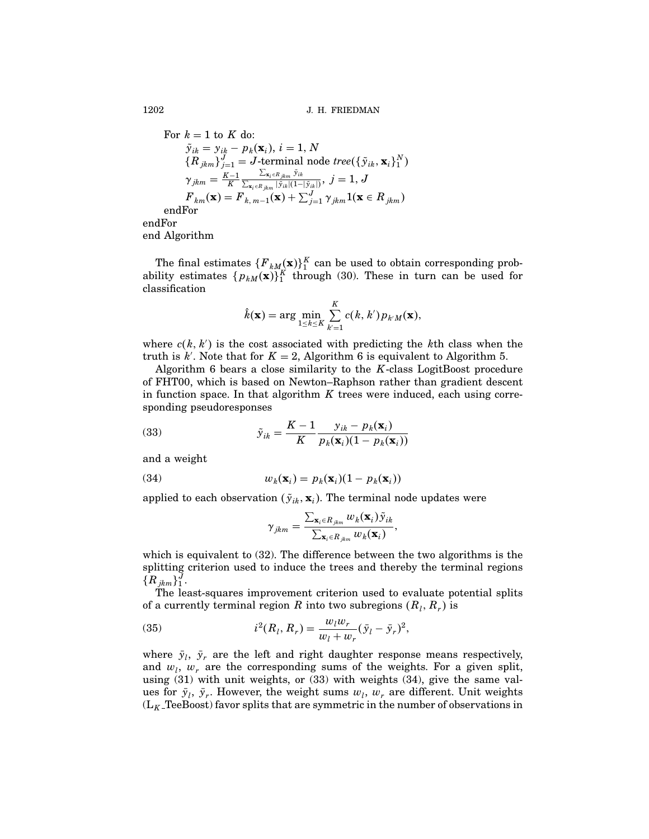For 
$$
k = 1
$$
 to  $K$  do:\n
$$
\tilde{y}_{ik} = y_{ik} - p_k(\mathbf{x}_i), \, i = 1, N
$$
\n
$$
\{R_{jkm}\}_{j=1}^J = J\text{-terminal node tree}(\{\tilde{y}_{ik}, \mathbf{x}_i\}_1^N)
$$
\n
$$
\gamma_{jkm} = \frac{K-1}{K} \frac{\sum_{\mathbf{x}_i \in R_{jkm}} \tilde{y}_{ik}}{\sum_{\mathbf{x}_i \in R_{jkm}} |\tilde{y}_{ik}|(1-|\tilde{y}_{ik}|)}, \, j = 1, J
$$
\n
$$
F_{km}(\mathbf{x}) = F_{k, m-1}(\mathbf{x}) + \sum_{j=1}^J \gamma_{jkm} \mathbf{1}(\mathbf{x} \in R_{jkm})
$$
\nendFor\nend Algorithm

The final estimates  $\{F_{k,M}(x)\}_1^K$  can be used to obtain corresponding probability estimates  $\{p_{kM}(\mathbf{x})\}^K_1$  through (30). These in turn can be used for classification

$$
\hat{k}(\mathbf{x}) = \arg\min_{1 \leq k \leq K} \sum_{k'=1}^{K} c(k, k') p_{k'M}(\mathbf{x}),
$$

where  $c(k, k')$  is the cost associated with predicting the kth class when the truth is  $k'$ . Note that for  $K = 2$ , Algorithm 6 is equivalent to Algorithm 5.

Algorithm 6 bears a close similarity to the  $K$ -class LogitBoost procedure ofFHT00, which is based on Newton–Raphson rather than gradient descent in function space. In that algorithm  $K$  trees were induced, each using corresponding pseudoresponses

(33) 
$$
\tilde{y}_{ik} = \frac{K-1}{K} \frac{y_{ik} - p_k(\mathbf{x}_i)}{p_k(\mathbf{x}_i)(1 - p_k(\mathbf{x}_i))}
$$

and a weight

(34) 
$$
w_k(\mathbf{x}_i) = p_k(\mathbf{x}_i)(1 - p_k(\mathbf{x}_i))
$$

applied to each observation  $(\tilde{y}_{ik}, \mathbf{x}_i)$ . The terminal node updates were

$$
\gamma_{jkm} = \frac{\sum_{\mathbf{x}_i \in R_{jkm}} w_k(\mathbf{x}_i) \tilde{\mathbf{y}}_{ik}}{\sum_{\mathbf{x}_i \in R_{jkm}} w_k(\mathbf{x}_i)},
$$

which is equivalent to (32). The difference between the two algorithms is the splitting criterion used to induce the trees and thereby the terminal regions  $\{R_{\underline{jkm}}\}_1^J.$ 

The least-squares improvement criterion used to evaluate potential splits of a currently terminal region R into two subregions  $(R_l, R_r)$  is

(35) 
$$
i^2(R_l, R_r) = \frac{w_l w_r}{w_l + w_r} (\bar{y}_l - \bar{y}_r)^2,
$$

where  $\bar{y}_l$ ,  $\bar{y}_r$  are the left and right daughter response means respectively, and  $w_l$ ,  $w_r$  are the corresponding sums of the weights. For a given split, using (31) with unit weights, or (33) with weights (34), give the same values for  $\bar{y}_l$ ,  $\bar{y}_r$ . However, the weight sums  $w_l$ ,  $w_r$  are different. Unit weights  $(L_K$  TeeBoost) favor splits that are symmetric in the number of observations in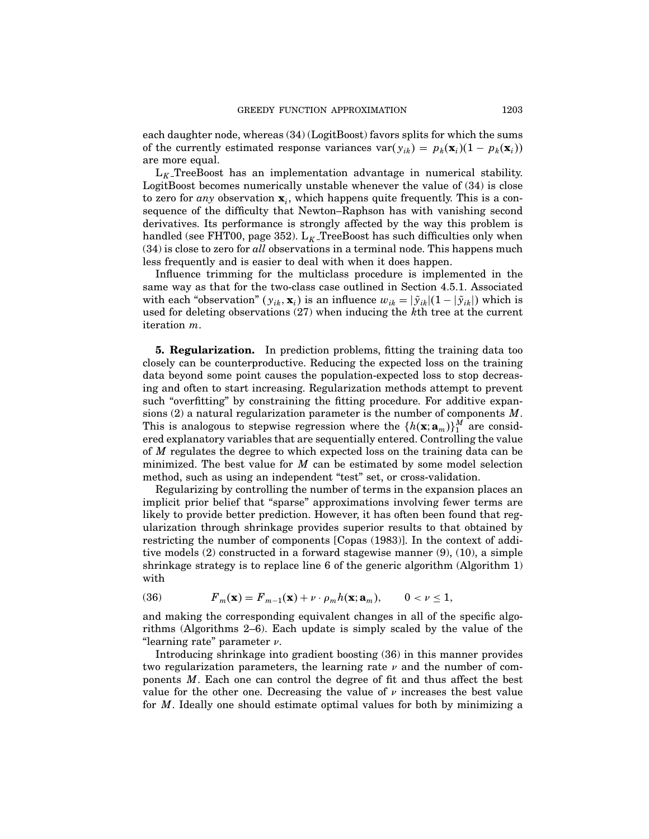each daughter node, whereas (34) (LogitBoost) favors splits for which the sums of the currently estimated response variances var $(y_{ik}) = p_k(\mathbf{x}_i)(1 - p_k(\mathbf{x}_i))$ are more equal.

 $L_K$ -TreeBoost has an implementation advantage in numerical stability. LogitBoost becomes numerically unstable whenever the value of (34) is close to zero for any observation  $\mathbf{x}_i$ , which happens quite frequently. This is a consequence of the difficulty that Newton–Raphson has with vanishing second derivatives. Its performance is strongly affected by the way this problem is handled (see FHT00, page 352).  $L_K$  TreeBoost has such difficulties only when (34) is close to zero for all observations in a terminal node. This happens much less frequently and is easier to deal with when it does happen.

Influence trimming for the multiclass procedure is implemented in the same way as that for the two-class case outlined in Section 4.5.1. Associated with each "observation"  $(y_{ik}, \mathbf{x}_i)$  is an influence  $w_{ik} = |\tilde{y}_{ik}| (1 - |\tilde{y}_{ik}|)$  which is used for deleting observations (27) when inducing the kth tree at the current iteration m.

5. Regularization. In prediction problems, fitting the training data too closely can be counterproductive. Reducing the expected loss on the training data beyond some point causes the population-expected loss to stop decreasing and often to start increasing. Regularization methods attempt to prevent such "overfitting" by constraining the fitting procedure. For additive expansions (2) a natural regularization parameter is the number of components  $M$ . This is analogous to stepwise regression where the  $\{h(\mathbf{x}; \mathbf{a}_m)\}_{1}^M$  are considered explanatory variables that are sequentially entered. Controlling the value of M regulates the degree to which expected loss on the training data can be minimized. The best value for  $M$  can be estimated by some model selection method, such as using an independent "test" set, or cross-validation.

Regularizing by controlling the number of terms in the expansion places an implicit prior belief that "sparse" approximations involving fewer terms are likely to provide better prediction. However, it has often been found that regularization through shrinkage provides superior results to that obtained by restricting the number of components [Copas (1983)]. In the context of additive models (2) constructed in a forward stagewise manner (9), (10), a simple shrinkage strategy is to replace line  $6$  of the generic algorithm (Algorithm 1) with

(36) 
$$
F_m(\mathbf{x}) = F_{m-1}(\mathbf{x}) + \nu \cdot \rho_m h(\mathbf{x}; \mathbf{a}_m), \qquad 0 < \nu \le 1,
$$

and making the corresponding equivalent changes in all of the specific algorithms (Algorithms  $2-6$ ). Each update is simply scaled by the value of the "learning rate" parameter  $\nu$ .

Introducing shrinkage into gradient boosting (36) in this manner provides two regularization parameters, the learning rate  $\nu$  and the number of components M. Each one can control the degree of fit and thus affect the best value for the other one. Decreasing the value of  $\nu$  increases the best value for M. Ideally one should estimate optimal values for both by minimizing a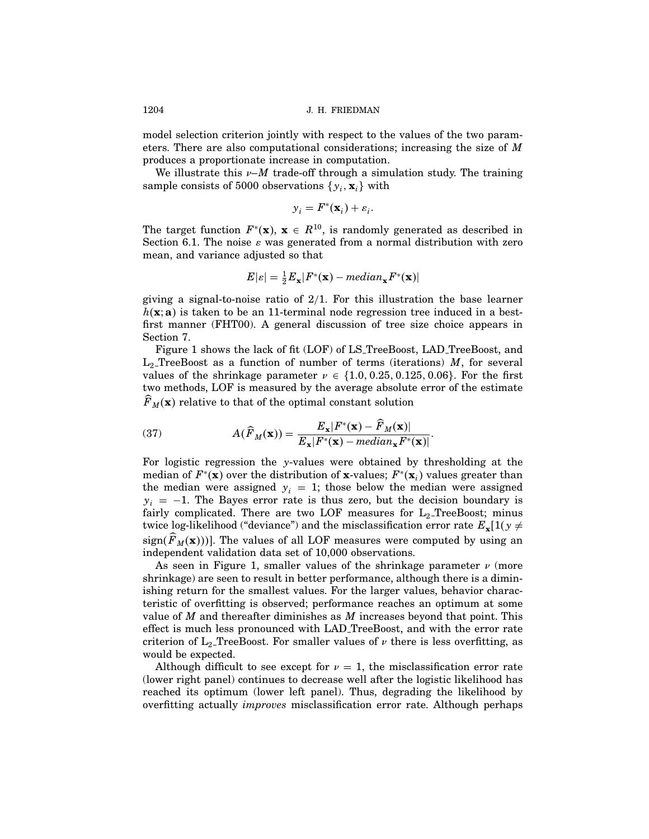model selection criterion jointly with respect to the values of the two parameters. There are also computational considerations; increasing the size of M produces a proportionate increase in computation.

We illustrate this  $\nu$ -*M* trade-off through a simulation study. The training sample consists of 5000 observations  $\{y_i, \mathbf{x}_i\}$  with

$$
y_i = F^*(\mathbf{x}_i) + \varepsilon_i.
$$

The target function  $F^*(\mathbf{x})$ ,  $\mathbf{x} \in R^{10}$ , is randomly generated as described in Section 6.1. The noise  $\varepsilon$  was generated from a normal distribution with zero mean, and variance adjusted so that

$$
E|\varepsilon| = \frac{1}{2}E_{\mathbf{x}}|F^*(\mathbf{x}) - \text{median}_{\mathbf{x}}F^*(\mathbf{x})|
$$

giving a signal-to-noise ratio of  $2/1$ . For this illustration the base learner  $h(\mathbf{x}; \mathbf{a})$  is taken to be an 11-terminal node regression tree induced in a bestfirst manner (FHT00). A general discussion of tree size choice appears in Section 7.

Figure 1 shows the lack of fit (LOF) of LS\_TreeBoost, LAD\_TreeBoost, and  $L_2$  TreeBoost as a function of number of terms (iterations) M, for several values of the shrinkage parameter  $\nu \in \{1.0, 0.25, 0.125, 0.06\}$ . For the first two methods, LOF is measured by the average absolute error of the estimate  $\overline{F}_M(\mathbf{x})$  relative to that of the optimal constant solution

(37) 
$$
A(\widehat{F}_M(\mathbf{x})) = \frac{E_{\mathbf{x}}|F^*(\mathbf{x}) - F_M(\mathbf{x})|}{E_{\mathbf{x}}|F^*(\mathbf{x}) - \text{median}_{\mathbf{x}}F^*(\mathbf{x})|}.
$$

For logistic regression the y-values were obtained by thresholding at the median of  $F^*(\mathbf{x})$  over the distribution of x-values;  $F^*(\mathbf{x}_i)$  values greater than the median were assigned  $y_i = 1$ ; those below the median were assigned  $y_i = -1$ . The Bayes error rate is thus zero, but the decision boundary is fairly complicated. There are two LOF measures for  $L_2$ -TreeBoost; minus twice log-likelihood ("deviance") and the misclassification error rate  $E_{\mathbf{x}}[1(y \neq$ sign( $F_M(\mathbf{x})$ )). The values of all LOF measures were computed by using an independent validation data set of 10,000 observations.

As seen in Figure 1, smaller values of the shrinkage parameter  $\nu$  (more shrinkage) are seen to result in better performance, although there is a diminishing return for the smallest values. For the larger values, behavior characteristic of overfitting is observed; performance reaches an optimum at some value of  $M$  and thereafter diminishes as  $M$  increases beyond that point. This effect is much less pronounced with LAD TreeBoost, and with the error rate criterion of  $L_2$  TreeBoost. For smaller values of  $\nu$  there is less overfitting, as would be expected.

Although difficult to see except for  $\nu = 1$ , the misclassification error rate (lower right panel) continues to decrease well after the logistic likelihood has reached its optimum (lower left panel). Thus, degrading the likelihood by overfitting actually improves misclassification error rate. Although perhaps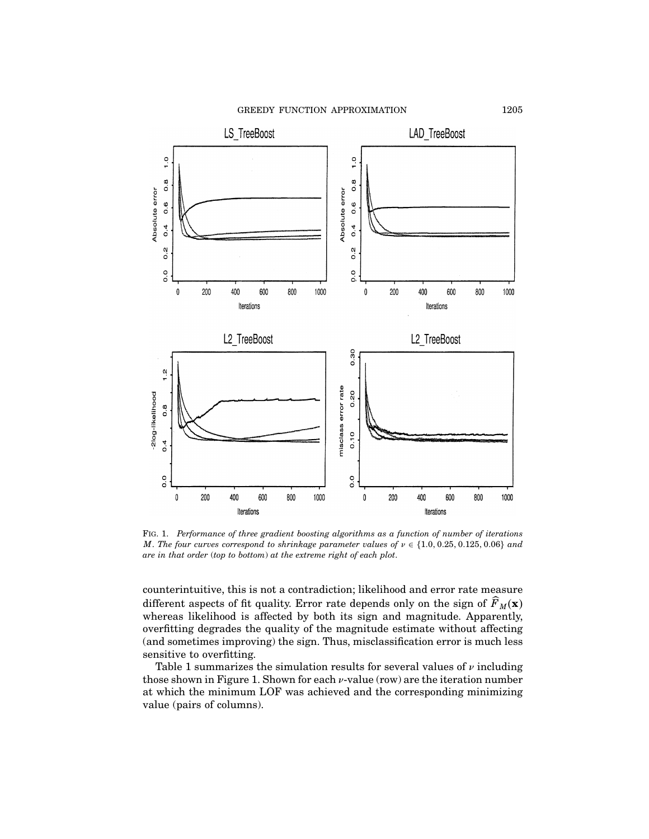GREEDY FUNCTION APPROXIMATION 1205



Fig. 1. Performance of three gradient boosting algorithms as a function of number of iterations M. The four curves correspond to shrinkage parameter values of  $\nu \in \{1.0, 0.25, 0.125, 0.06\}$  and are in that order (top to bottom) at the extreme right of each plot.

counterintuitive, this is not a contradiction; likelihood and error rate measure different aspects of fit quality. Error rate depends only on the sign of  $\widehat{F}_M(\mathbf{x})$ whereas likelihood is affected by both its sign and magnitude. Apparently, overfitting degrades the quality of the magnitude estimate without affecting (and sometimes improving) the sign. Thus, misclassification error is much less sensitive to overfitting.

Table 1 summarizes the simulation results for several values of  $\nu$  including those shown in Figure 1. Shown for each  $\nu$ -value (row) are the iteration number at which the minimum LOF was achieved and the corresponding minimizing value (pairs of columns).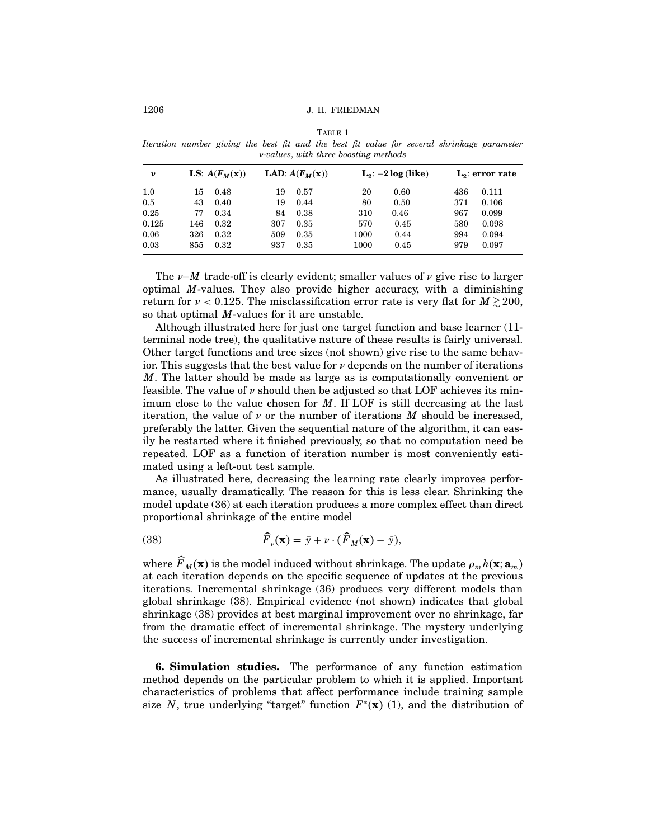TABLE 1 Iteration number giving the best fit and the best fit value for several shrinkage parameter ν-values, with three boosting methods

| ν     |     | LS: $A(F_M(x))$ |     | LAD: $A(F_M(x))$ |      | $L_2: -2log (like)$ |     | $L_2$ : error rate |
|-------|-----|-----------------|-----|------------------|------|---------------------|-----|--------------------|
| 1.0   | 15  | 0.48            | 19  | 0.57             | 20   | 0.60                | 436 | 0.111              |
| 0.5   | 43  | 0.40            | 19  | 0.44             | 80   | 0.50                | 371 | 0.106              |
| 0.25  | 77  | 0.34            | 84  | 0.38             | 310  | 0.46                | 967 | 0.099              |
| 0.125 | 146 | 0.32            | 307 | 0.35             | 570  | 0.45                | 580 | 0.098              |
| 0.06  | 326 | 0.32            | 509 | 0.35             | 1000 | 0.44                | 994 | 0.094              |
| 0.03  | 855 | 0.32            | 937 | 0.35             | 1000 | 0.45                | 979 | 0.097              |

The  $\nu-M$  trade-off is clearly evident; smaller values of  $\nu$  give rise to larger optimal M-values. They also provide higher accuracy, with a diminishing return for  $\nu < 0.125$ . The misclassification error rate is very flat for  $M \gtrsim 200$ , so that optimal M-values for it are unstable.

Although illustrated here for just one target function and base learner (11 terminal node tree), the qualitative nature ofthese results is fairly universal. Other target functions and tree sizes (not shown) give rise to the same behavior. This suggests that the best value for  $\nu$  depends on the number of iterations M. The latter should be made as large as is computationally convenient or feasible. The value of  $\nu$  should then be adjusted so that LOF achieves its minimum close to the value chosen for  $M$ . If LOF is still decreasing at the last iteration, the value of  $\nu$  or the number of iterations M should be increased, preferably the latter. Given the sequential nature of the algorithm, it can easily be restarted where it finished previously, so that no computation need be repeated. LOF as a function of iteration number is most conveniently estimated using a left-out test sample.

As illustrated here, decreasing the learning rate clearly improves performance, usually dramatically. The reason for this is less clear. Shrinking the model update (36) at each iteration produces a more complex effect than direct proportional shrinkage of the entire model

(38) 
$$
\widehat{F}_{\nu}(\mathbf{x}) = \bar{y} + \nu \cdot (\widehat{F}_{M}(\mathbf{x}) - \bar{y}),
$$

where  $\widehat{F}_M(\mathbf{x})$  is the model induced without shrinkage. The update  $\rho_m h(\mathbf{x}; \mathbf{a}_m)$ at each iteration depends on the specific sequence of updates at the previous iterations. Incremental shrinkage (36) produces very different models than global shrinkage (38). Empirical evidence (not shown) indicates that global shrinkage (38) provides at best marginal improvement over no shrinkage, far from the dramatic effect of incremental shrinkage. The mystery underlying the success of incremental shrinkage is currently under investigation.

6. Simulation studies. The performance of any function estimation method depends on the particular problem to which it is applied. Important characteristics of problems that affect performance include training sample size N, true underlying "target" function  $F^*(\mathbf{x})$  (1), and the distribution of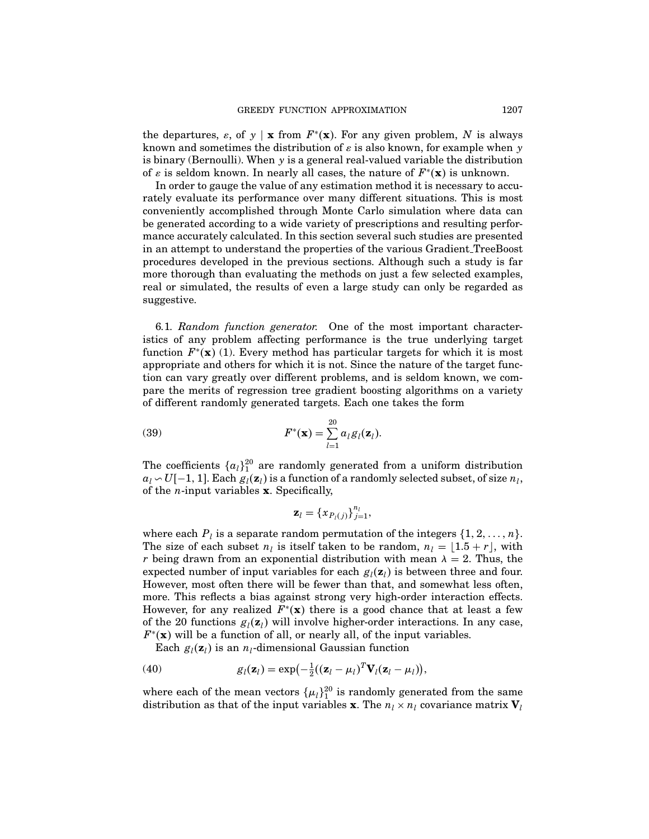the departures,  $\varepsilon$ , of y | x from  $F^*(x)$ . For any given problem, N is always known and sometimes the distribution of  $\varepsilon$  is also known, for example when  $\gamma$ is binary (Bernoulli). When  $y$  is a general real-valued variable the distribution of  $\varepsilon$  is seldom known. In nearly all cases, the nature of  $F^*(\mathbf{x})$  is unknown.

In order to gauge the value of any estimation method it is necessary to accurately evaluate its performance over many different situations. This is most conveniently accomplished through Monte Carlo simulation where data can be generated according to a wide variety of prescriptions and resulting performance accurately calculated. In this section several such studies are presented in an attempt to understand the properties of the various Gradient TreeBoost procedures developed in the previous sections. Although such a study is far more thorough than evaluating the methods on just a few selected examples, real or simulated, the results of even a large study can only be regarded as suggestive.

6.1. Random function generator. One of the most important characteristics of any problem affecting performance is the true underlying target function  $F^*(\mathbf{x})$  (1). Every method has particular targets for which it is most appropriate and others for which it is not. Since the nature of the target function can vary greatly over different problems, and is seldom known, we compare the merits of regression tree gradient boosting algorithms on a variety of different randomly generated targets. Each one takes the form

(39) 
$$
F^*(\mathbf{x}) = \sum_{l=1}^{20} a_l g_l(\mathbf{z}_l).
$$

The coefficients  $\{a_l\}_1^{20}$  are randomly generated from a uniform distribution  $a_l \backsim U[-1,1]$ . Each  $g_l(\mathbf{z}_l)$  is a function of a randomly selected subset, of size  $n_l$ , of the *n*-input variables  $x$ . Specifically,

$$
\mathbf{z}_{l} = {\{x_{P_l(j)}\}}_{j=1}^{n_l},
$$

where each  $P_l$  is a separate random permutation of the integers  $\{1, 2, \ldots, n\}$ . The size of each subset  $n_l$  is itself taken to be random,  $n_l = \lfloor 1.5 + r \rfloor$ , with r being drawn from an exponential distribution with mean  $\lambda = 2$ . Thus, the expected number of input variables for each  $g_l(\mathbf{z}_l)$  is between three and four. However, most often there will be fewer than that, and somewhat less often, more. This reflects a bias against strong very high-order interaction effects. However, for any realized  $F^*(\mathbf{x})$  there is a good chance that at least a few of the 20 functions  $g_i(\mathbf{z}_i)$  will involve higher-order interactions. In any case,  $F^*(\mathbf{x})$  will be a function of all, or nearly all, of the input variables.

Each  $g_l(\mathbf{z}_l)$  is an  $n_l$ -dimensional Gaussian function

(40) 
$$
g_l(\mathbf{z}_l) = \exp\left(-\frac{1}{2}((\mathbf{z}_l - \mu_l)^T \mathbf{V}_l(\mathbf{z}_l - \mu_l)),\right)
$$

where each of the mean vectors  $\{\mu_l\}_1^{20}$  is randomly generated from the same distribution as that of the input variables **x**. The  $n_l \times n_l$  covariance matrix  $V_l$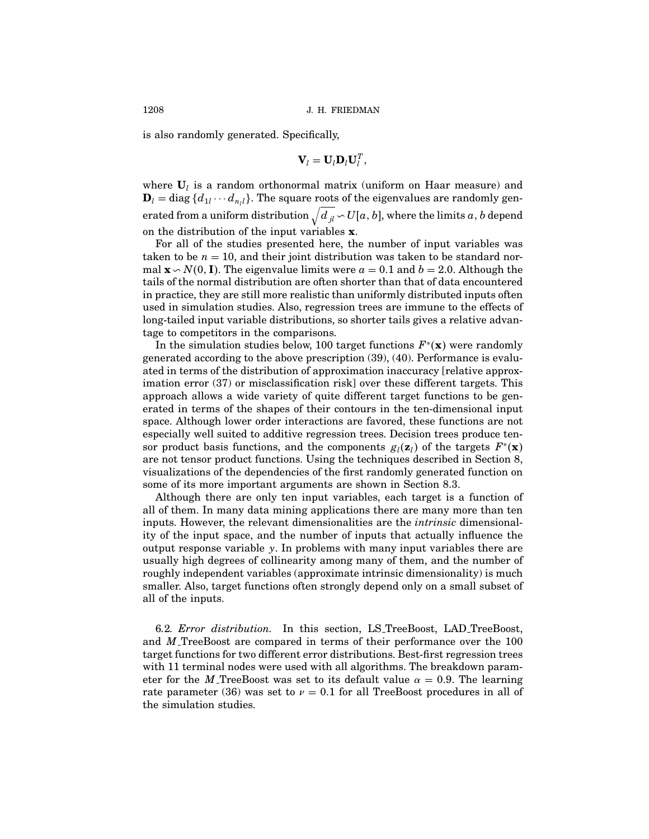is also randomly generated. Specifically,

$$
\mathbf{V}_l = \mathbf{U}_l \mathbf{D}_l \mathbf{U}_l^T,
$$

where  $U_l$  is a random orthonormal matrix (uniform on Haar measure) and  ${\bf D}_l = {\rm diag}\,\{d_{1l}\cdots d_{n_l l}\}.$  The square roots of the eigenvalues are randomly generated from a uniform distribution  $\sqrt{d_{jl}}\!sim\!U[a,b],$  where the limits  $a,b$  depend on the distribution of the input variables  $x$ .

For all of the studies presented here, the number of input variables was taken to be  $n = 10$ , and their joint distribution was taken to be standard normal  $\mathbf{x} \setminus N(0, \mathbf{I})$ . The eigenvalue limits were  $a = 0.1$  and  $b = 2.0$ . Although the tails of the normal distribution are often shorter than that of data encountered in practice, they are still more realistic than uniformly distributed inputs often used in simulation studies. Also, regression trees are immune to the effects of long-tailed input variable distributions, so shorter tails gives a relative advantage to competitors in the comparisons.

In the simulation studies below, 100 target functions  $F^*(\mathbf{x})$  were randomly generated according to the above prescription (39), (40). Performance is evaluated in terms of the distribution of approximation inaccuracy [relative approximation error (37) or misclassification risk] over these different targets. This approach allows a wide variety of quite different target functions to be generated in terms of the shapes of their contours in the ten-dimensional input space. Although lower order interactions are favored, these functions are not especially well suited to additive regression trees. Decision trees produce tensor product basis functions, and the components  $g_i(z_i)$  of the targets  $F^*(\mathbf{x})$ are not tensor product functions. Using the techniques described in Section 8, visualizations ofthe dependencies ofthe first randomly generated function on some of its more important arguments are shown in Section 8.3.

Although there are only ten input variables, each target is a function of all of them. In many data mining applications there are many more than ten inputs. However, the relevant dimensionalities are the intrinsic dimensionality of the input space, and the number of inputs that actually influence the output response variable  $y$ . In problems with many input variables there are usually high degrees of collinearity among many of them, and the number of roughly independent variables (approximate intrinsic dimensionality) is much smaller. Also, target functions often strongly depend only on a small subset of all of the inputs.

6.2. Error distribution. In this section, LS TreeBoost, LAD TreeBoost, and M TreeBoost are compared in terms of their performance over the 100 target functions for two different error distributions. Best-first regression trees with 11 terminal nodes were used with all algorithms. The breakdown parameter for the M TreeBoost was set to its default value  $\alpha = 0.9$ . The learning rate parameter (36) was set to  $\nu = 0.1$  for all TreeBoost procedures in all of the simulation studies.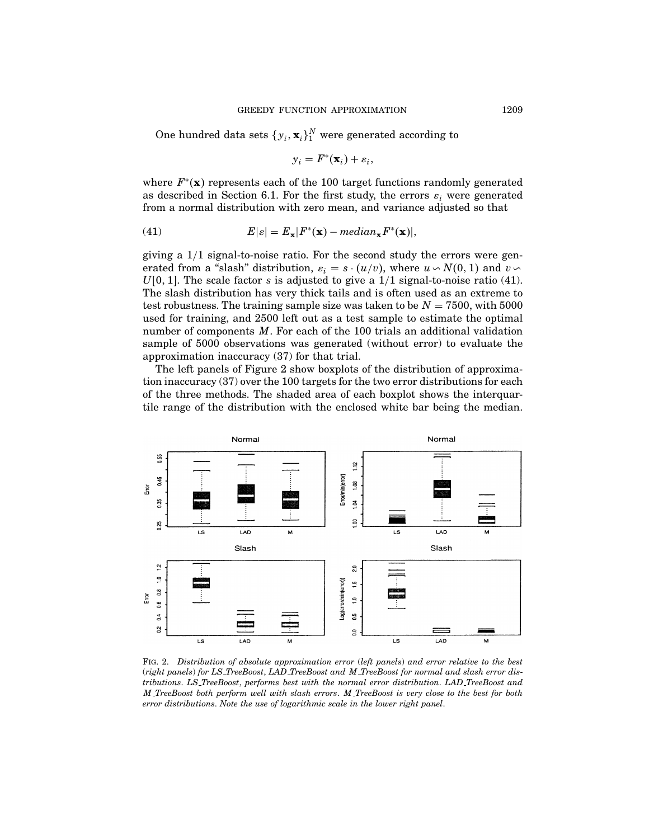One hundred data sets  $\{y_i, \mathbf{x}_i\}_1^N$  were generated according to

$$
y_i = F^*(\mathbf{x}_i) + \varepsilon_i,
$$

where  $F^*(\mathbf{x})$  represents each of the 100 target functions randomly generated as described in Section 6.1. For the first study, the errors  $\varepsilon$ , were generated from a normal distribution with zero mean, and variance adjusted so that

(41) 
$$
E|\varepsilon| = E_{\mathbf{x}}|F^*(\mathbf{x}) - \text{median}_{\mathbf{x}}F^*(\mathbf{x})|,
$$

giving a 1/1 signal-to-noise ratio. For the second study the errors were generated from a "slash" distribution,  $\varepsilon_i = s \cdot (u/v)$ , where  $u \sim N(0, 1)$  and  $v \sim$  $U[0, 1]$ . The scale factor s is adjusted to give a  $1/1$  signal-to-noise ratio (41). The slash distribution has very thick tails and is often used as an extreme to test robustness. The training sample size was taken to be  $N = 7500$ , with 5000 used for training, and 2500 left out as a test sample to estimate the optimal number of components  $M$ . For each of the 100 trials an additional validation sample of 5000 observations was generated (without error) to evaluate the approximation inaccuracy (37) for that trial.

The left panels of Figure 2 show boxplots of the distribution of approximation inaccuracy (37) over the 100 targets for the two error distributions for each of the three methods. The shaded area of each boxplot shows the interquartile range of the distribution with the enclosed white bar being the median.



Fig. 2. Distribution of absolute approximation error (left panels) and error relative to the best (right panels) for LS TreeBoost, LAD TreeBoost and M TreeBoost for normal and slash error distributions. LS TreeBoost, performs best with the normal error distribution. LAD TreeBoost and M TreeBoost both perform well with slash errors. M TreeBoost is very close to the best for both error distributions. Note the use of logarithmic scale in the lower right panel.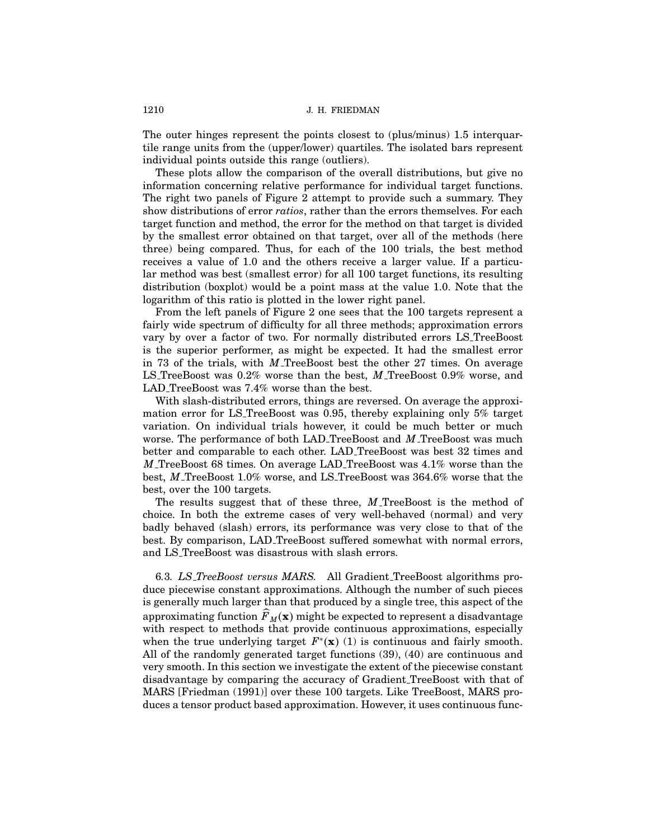The outer hinges represent the points closest to (plus/minus) 1.5 interquartile range units from the (upper/lower) quartiles. The isolated bars represent individual points outside this range (outliers).

These plots allow the comparison of the overall distributions, but give no information concerning relative performance for individual target functions. The right two panels of Figure 2 attempt to provide such a summary. They show distributions of error *ratios*, rather than the errors themselves. For each target function and method, the error for the method on that target is divided by the smallest error obtained on that target, over all of the methods (here three) being compared. Thus, for each of the 100 trials, the best method receives a value of 1.0 and the others receive a larger value. If a particular method was best (smallest error) for all 100 target functions, its resulting distribution (boxplot) would be a point mass at the value 1.0. Note that the logarithm of this ratio is plotted in the lower right panel.

From the left panels of Figure 2 one sees that the 100 targets represent a fairly wide spectrum of difficulty for all three methods; approximation errors vary by over a factor of two. For normally distributed errors LS TreeBoost is the superior performer, as might be expected. It had the smallest error in 73 of the trials, with M TreeBoost best the other 27 times. On average LS TreeBoost was 0.2% worse than the best, M TreeBoost 0.9% worse, and LAD TreeBoost was 7.4% worse than the best.

With slash-distributed errors, things are reversed. On average the approximation error for LS TreeBoost was 0.95, thereby explaining only 5% target variation. On individual trials however, it could be much better or much worse. The performance of both LAD TreeBoost and M TreeBoost was much better and comparable to each other. LAD TreeBoost was best 32 times and M TreeBoost 68 times. On average LAD TreeBoost was 4.1% worse than the best, M TreeBoost 1.0% worse, and LS TreeBoost was 364.6% worse that the best, over the 100 targets.

The results suggest that of these three,  $M$  TreeBoost is the method of choice. In both the extreme cases of very well-behaved (normal) and very badly behaved (slash) errors, its performance was very close to that of the best. By comparison, LAD TreeBoost suffered somewhat with normal errors, and LS TreeBoost was disastrous with slash errors.

6.3. LS\_TreeBoost versus MARS. All Gradient\_TreeBoost algorithms produce piecewise constant approximations. Although the number of such pieces is generally much larger than that produced by a single tree, this aspect of the approximating function  $\widehat{F}_M(\mathbf{x})$  might be expected to represent a disadvantage with respect to methods that provide continuous approximations, especially when the true underlying target  $F^*(\mathbf{x})$  (1) is continuous and fairly smooth. All of the randomly generated target functions  $(39)$ ,  $(40)$  are continuous and very smooth. In this section we investigate the extent ofthe piecewise constant disadvantage by comparing the accuracy of Gradient TreeBoost with that of MARS [Friedman (1991)] over these 100 targets. Like TreeBoost, MARS produces a tensor product based approximation. However, it uses continuous func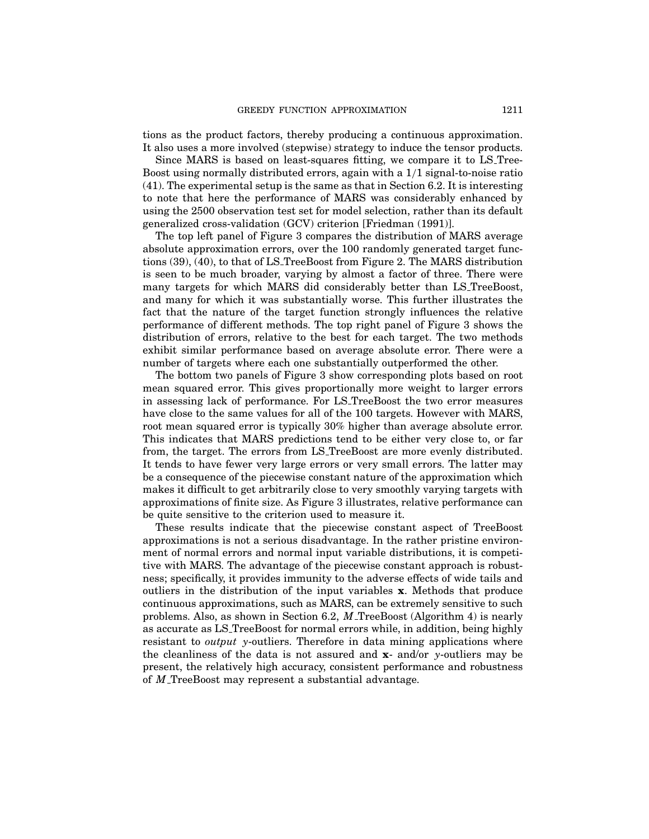tions as the product factors, thereby producing a continuous approximation. It also uses a more involved (stepwise) strategy to induce the tensor products.

Since MARS is based on least-squares fitting, we compare it to LS Tree-Boost using normally distributed errors, again with a 1/1 signal-to-noise ratio (41). The experimental setup is the same as that in Section 6.2. It is interesting to note that here the performance of MARS was considerably enhanced by using the 2500 observation test set for model selection, rather than its default generalized cross-validation (GCV) criterion [Friedman (1991)].

The top left panel of Figure 3 compares the distribution of MARS average absolute approximation errors, over the 100 randomly generated target functions (39), (40), to that ofLS TreeBoost from Figure 2. The MARS distribution is seen to be much broader, varying by almost a factor of three. There were many targets for which MARS did considerably better than LS TreeBoost, and many for which it was substantially worse. This further illustrates the fact that the nature of the target function strongly influences the relative performance of different methods. The top right panel of Figure 3 shows the distribution of errors, relative to the best for each target. The two methods exhibit similar performance based on average absolute error. There were a number of targets where each one substantially outperformed the other.

The bottom two panels of Figure 3 show corresponding plots based on root mean squared error. This gives proportionally more weight to larger errors in assessing lack of performance. For LS\_TreeBoost the two error measures have close to the same values for all of the 100 targets. However with MARS, root mean squared error is typically 30% higher than average absolute error. This indicates that MARS predictions tend to be either very close to, or far from, the target. The errors from LS TreeBoost are more evenly distributed. It tends to have fewer very large errors or very small errors. The latter may be a consequence of the piecewise constant nature of the approximation which makes it difficult to get arbitrarily close to very smoothly varying targets with approximations offinite size. As Figure 3 illustrates, relative performance can be quite sensitive to the criterion used to measure it.

These results indicate that the piecewise constant aspect of TreeBoost approximations is not a serious disadvantage. In the rather pristine environment of normal errors and normal input variable distributions, it is competitive with MARS. The advantage of the piecewise constant approach is robustness; specifically, it provides immunity to the adverse effects of wide tails and outliers in the distribution of the input variables x. Methods that produce continuous approximations, such as MARS, can be extremely sensitive to such problems. Also, as shown in Section 6.2, M TreeBoost (Algorithm 4) is nearly as accurate as LS TreeBoost for normal errors while, in addition, being highly resistant to *output* y-outliers. Therefore in data mining applications where the cleanliness of the data is not assured and  $\mathbf{x}$ - and/or y-outliers may be present, the relatively high accuracy, consistent performance and robustness of M TreeBoost may represent a substantial advantage.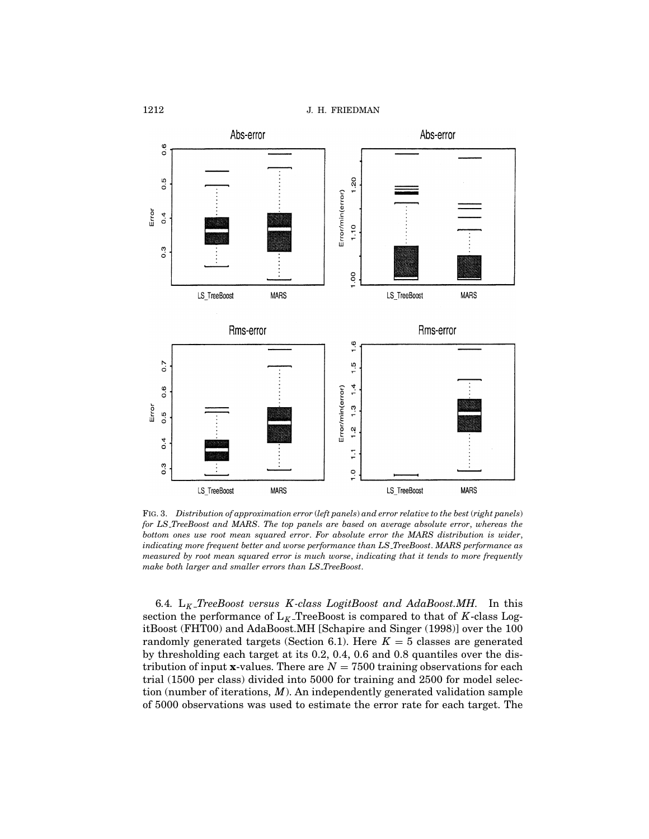

Fig. 3. Distribution of approximation error (left panels) and error relative to the best (right panels) for LS TreeBoost and MARS. The top panels are based on average absolute error, whereas the bottom ones use root mean squared error. For absolute error the MARS distribution is wider, indicating more frequent better and worse performance than LS TreeBoost. MARS performance as measured by root mean squared error is much worse, indicating that it tends to more frequently make both larger and smaller errors than LS\_TreeBoost.

6.4.  $L_K$ -TreeBoost versus K-class LogitBoost and AdaBoost.MH. In this section the performance of  $L_K$ -TreeBoost is compared to that of K-class LogitBoost (FHT00) and AdaBoost.MH [Schapire and Singer (1998)] over the 100 randomly generated targets (Section 6.1). Here  $K = 5$  classes are generated by thresholding each target at its 0.2, 0.4, 0.6 and 0.8 quantiles over the distribution of input x-values. There are  $N = 7500$  training observations for each trial (1500 per class) divided into 5000 for training and 2500 for model selection (number of iterations,  $M$ ). An independently generated validation sample of 5000 observations was used to estimate the error rate for each target. The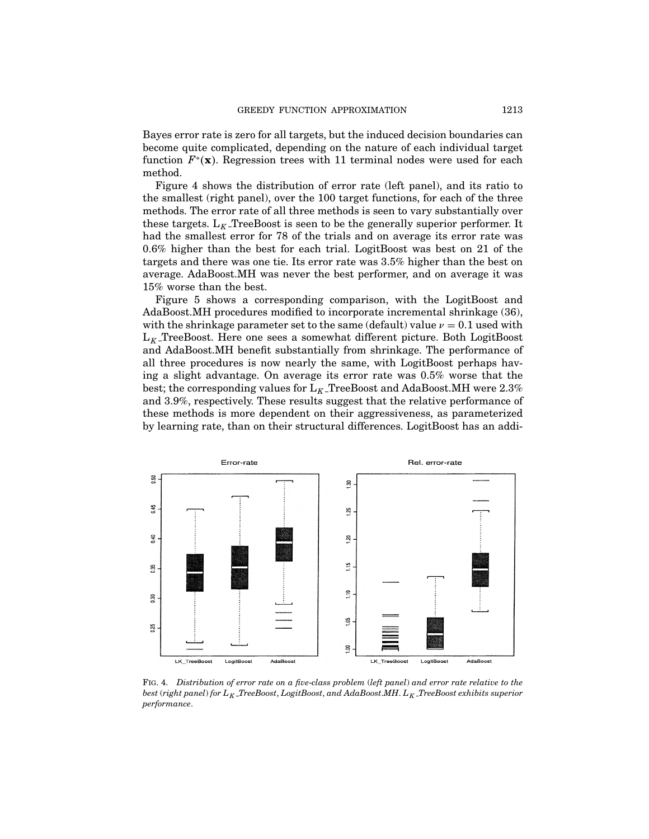Bayes error rate is zero for all targets, but the induced decision boundaries can become quite complicated, depending on the nature of each individual target function  $F^*(\mathbf{x})$ . Regression trees with 11 terminal nodes were used for each method.

Figure 4 shows the distribution of error rate (left panel), and its ratio to the smallest (right panel), over the 100 target functions, for each of the three methods. The error rate of all three methods is seen to vary substantially over these targets.  $L_K$  TreeBoost is seen to be the generally superior performer. It had the smallest error for 78 of the trials and on average its error rate was 0.6% higher than the best for each trial. LogitBoost was best on 21 of the targets and there was one tie. Its error rate was 3.5% higher than the best on average. AdaBoost.MH was never the best performer, and on average it was 15% worse than the best.

Figure 5 shows a corresponding comparison, with the LogitBoost and AdaBoost.MH procedures modified to incorporate incremental shrinkage (36), with the shrinkage parameter set to the same (default) value  $\nu = 0.1$  used with  $L_K$ -TreeBoost. Here one sees a somewhat different picture. Both LogitBoost and AdaBoost.MH benefit substantially from shrinkage. The performance of all three procedures is now nearly the same, with LogitBoost perhaps having a slight advantage. On average its error rate was 0.5% worse that the best; the corresponding values for  $L_K$ -TreeBoost and AdaBoost.MH were 2.3% and 3.9%, respectively. These results suggest that the relative performance of these methods is more dependent on their aggressiveness, as parameterized by learning rate, than on their structural differences. LogitBoost has an addi-



Fig. 4. Distribution of error rate on a five-class problem (left panel) and error rate relative to the best (right panel) for  $L_K$ \_TreeBoost, LogitBoost, and AdaBoost.MH.  $L_K$ \_TreeBoost exhibits superior performance.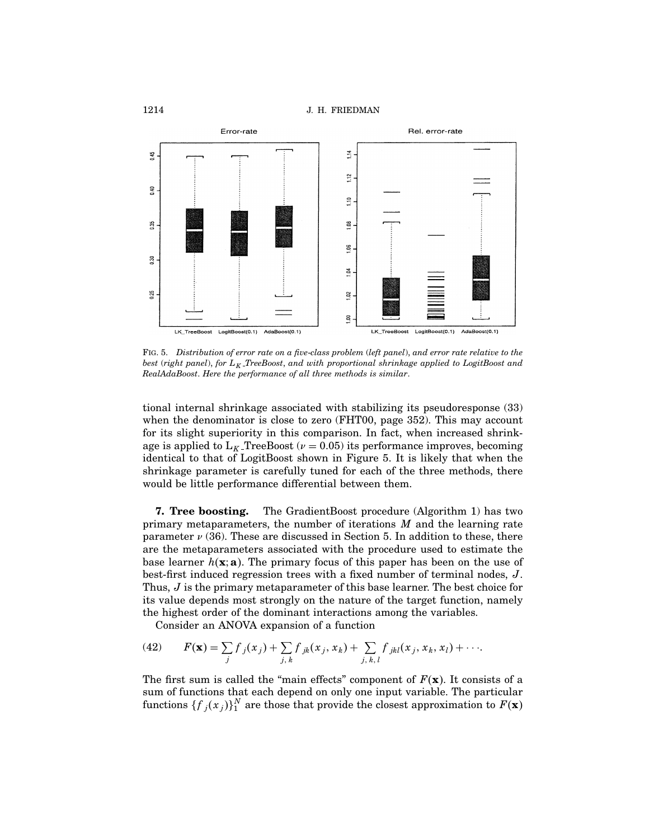

Fig. 5. Distribution of error rate on a five-class problem (left panel), and error rate relative to the best (right panel), for  $L_K$ -TreeBoost, and with proportional shrinkage applied to LogitBoost and RealAdaBoost. Here the performance of all three methods is similar.

tional internal shrinkage associated with stabilizing its pseudoresponse (33) when the denominator is close to zero (FHT00, page 352). This may account for its slight superiority in this comparison. In fact, when increased shrinkage is applied to  $L_K$ -TreeBoost ( $\nu = 0.05$ ) its performance improves, becoming identical to that of LogitBoost shown in Figure 5. It is likely that when the shrinkage parameter is carefully tuned for each of the three methods, there would be little performance differential between them.

7. Tree boosting. The GradientBoost procedure (Algorithm 1) has two primary metaparameters, the number of iterations  $M$  and the learning rate parameter  $\nu$  (36). These are discussed in Section 5. In addition to these, there are the metaparameters associated with the procedure used to estimate the base learner  $h(\mathbf{x}; \mathbf{a})$ . The primary focus of this paper has been on the use of best-first induced regression trees with a fixed number of terminal nodes,  $J$ . Thus, J is the primary metaparameter of this base learner. The best choice for its value depends most strongly on the nature of the target function, namely the highest order of the dominant interactions among the variables.

Consider an ANOVA expansion of a function

(42) 
$$
F(\mathbf{x}) = \sum_j f_{j}(x_j) + \sum_{j,k} f_{jk}(x_j, x_k) + \sum_{j,k,l} f_{jkl}(x_j, x_k, x_l) + \cdots
$$

The first sum is called the "main effects" component of  $F(\mathbf{x})$ . It consists of a sum of functions that each depend on only one input variable. The particular functions  $\{{f}_j({x}_j)\}_1^N$  are those that provide the closest approximation to  $F(\mathbf{x})$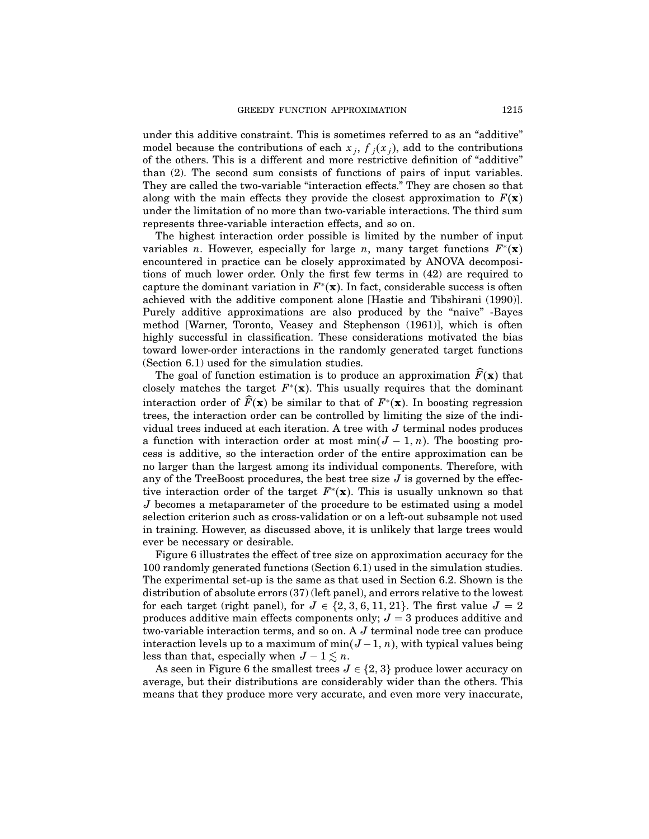under this additive constraint. This is sometimes referred to as an "additive" model because the contributions of each  $x_i$ ,  $f_i(x_i)$ , add to the contributions of the others. This is a different and more restrictive definition of "additive" than  $(2)$ . The second sum consists of functions of pairs of input variables. They are called the two-variable "interaction effects." They are chosen so that along with the main effects they provide the closest approximation to  $F(\mathbf{x})$ under the limitation of no more than two-variable interactions. The third sum represents three-variable interaction effects, and so on.

The highest interaction order possible is limited by the number of input variables *n*. However, especially for large *n*, many target functions  $F^*(\mathbf{x})$ encountered in practice can be closely approximated by ANOVA decompositions of much lower order. Only the first few terms in  $(42)$  are required to capture the dominant variation in  $F^*(\mathbf{x})$ . In fact, considerable success is often achieved with the additive component alone [Hastie and Tibshirani (1990)]. Purely additive approximations are also produced by the "naive" -Bayes method [Warner, Toronto, Veasey and Stephenson (1961)], which is often highly successful in classification. These considerations motivated the bias toward lower-order interactions in the randomly generated target functions (Section 6.1) used for the simulation studies.

The goal of function estimation is to produce an approximation  $\widehat{F}(\mathbf{x})$  that closely matches the target  $F<sup>*</sup>(x)$ . This usually requires that the dominant interaction order of  $\widehat{F}(\mathbf{x})$  be similar to that of  $F^*(\mathbf{x})$ . In boosting regression trees, the interaction order can be controlled by limiting the size of the individual trees induced at each iteration. A tree with  $J$  terminal nodes produces a function with interaction order at most min $(J - 1, n)$ . The boosting process is additive, so the interaction order of the entire approximation can be no larger than the largest among its individual components. Therefore, with any of the TreeBoost procedures, the best tree size  $J$  is governed by the effective interaction order of the target  $F^*(\mathbf{x})$ . This is usually unknown so that  $J$  becomes a metaparameter of the procedure to be estimated using a model selection criterion such as cross-validation or on a left-out subsample not used in training. However, as discussed above, it is unlikely that large trees would ever be necessary or desirable.

Figure 6 illustrates the effect of tree size on approximation accuracy for the 100 randomly generated functions (Section 6.1) used in the simulation studies. The experimental set-up is the same as that used in Section 6.2. Shown is the distribution of absolute errors  $(37)$  (left panel), and errors relative to the lowest for each target (right panel), for  $J \in \{2, 3, 6, 11, 21\}$ . The first value  $J = 2$ produces additive main effects components only;  $J = 3$  produces additive and two-variable interaction terms, and so on. A J terminal node tree can produce interaction levels up to a maximum of min $(J-1, n)$ , with typical values being less than that, especially when  $J - 1 \leq n$ .

As seen in Figure 6 the smallest trees  $J \in \{2, 3\}$  produce lower accuracy on average, but their distributions are considerably wider than the others. This means that they produce more very accurate, and even more very inaccurate,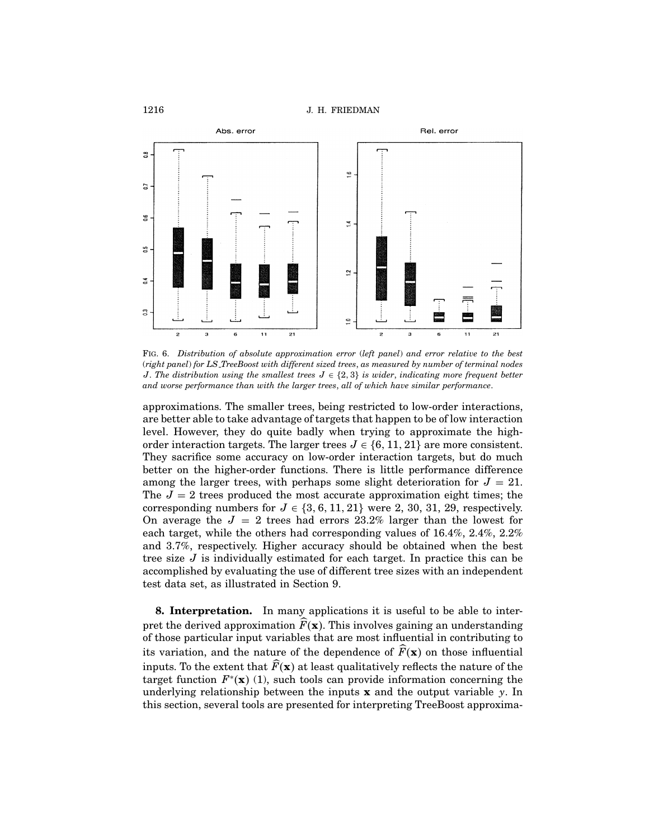

Fig. 6. Distribution of absolute approximation error (left panel) and error relative to the best (right panel) for LS TreeBoost with different sized trees, as measured by number of terminal nodes J. The distribution using the smallest trees  $J \in \{2,3\}$  is wider, indicating more frequent better and worse performance than with the larger trees, all of which have similar performance.

approximations. The smaller trees, being restricted to low-order interactions, are better able to take advantage of targets that happen to be of low interaction level. However, they do quite badly when trying to approximate the highorder interaction targets. The larger trees  $J \in \{6, 11, 21\}$  are more consistent. They sacrifice some accuracy on low-order interaction targets, but do much better on the higher-order functions. There is little performance difference among the larger trees, with perhaps some slight deterioration for  $J = 21$ . The  $J = 2$  trees produced the most accurate approximation eight times; the corresponding numbers for  $J \in \{3, 6, 11, 21\}$  were 2, 30, 31, 29, respectively. On average the  $J = 2$  trees had errors 23.2% larger than the lowest for each target, while the others had corresponding values of  $16.4\%, 2.4\%, 2.2\%$ and 3.7%, respectively. Higher accuracy should be obtained when the best tree size  $J$  is individually estimated for each target. In practice this can be accomplished by evaluating the use of different tree sizes with an independent test data set, as illustrated in Section 9.

**8. Interpretation.** In many applications it is useful to be able to interpret the derived approximation  $\vec{F}(\mathbf{x})$ . This involves gaining an understanding ofthose particular input variables that are most influential in contributing to its variation, and the nature of the dependence of  $\widehat{F}(\mathbf{x})$  on those influential inputs. To the extent that  $\widehat{F}(\mathbf{x})$  at least qualitatively reflects the nature of the target function  $F^*(\mathbf{x})$  (1), such tools can provide information concerning the underlying relationship between the inputs  $x$  and the output variable  $y$ . In this section, several tools are presented for interpreting TreeBoost approxima-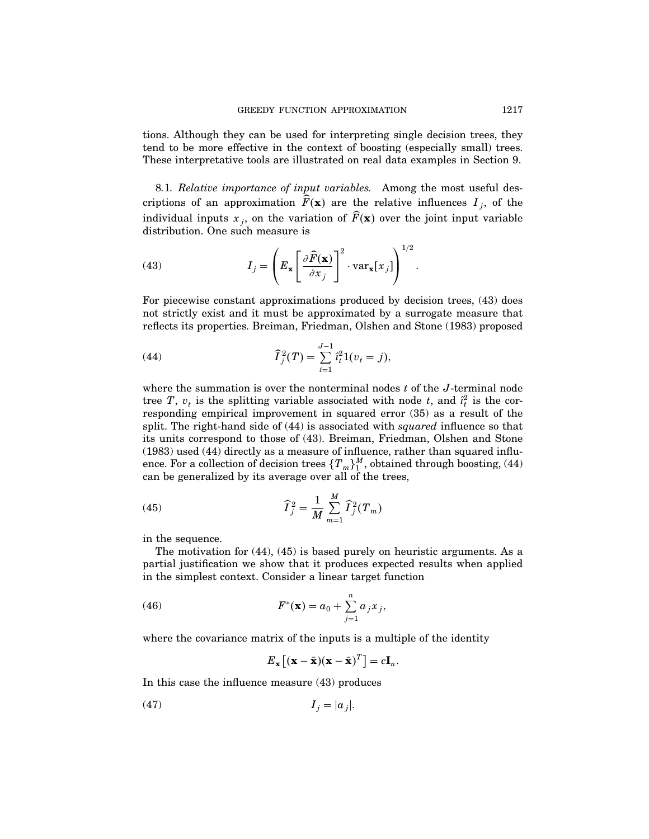tions. Although they can be used for interpreting single decision trees, they tend to be more effective in the context of boosting (especially small) trees. These interpretative tools are illustrated on real data examples in Section 9.

8.1. Relative importance of input variables. Among the most useful descriptions of an approximation  $\hat{F}(\mathbf{x})$  are the relative influences  $I_i$ , of the individual inputs  $x_j$ , on the variation of  $\widehat{F}(\mathbf{x})$  over the joint input variable distribution. One such measure is

(43) 
$$
I_j = \left( E_{\mathbf{x}} \left[ \frac{\partial \widehat{F}(\mathbf{x})}{\partial x_j} \right]^2 \cdot \text{var}_{\mathbf{x}}[x_j] \right)^{1/2}.
$$

For piecewise constant approximations produced by decision trees, (43) does not strictly exist and it must be approximated by a surrogate measure that reflects its properties. Breiman, Friedman, Olshen and Stone (1983) proposed

(44) 
$$
\widehat{I}_j^2(T) = \sum_{t=1}^{J-1} \widehat{i}_t^2 1(v_t = j),
$$

where the summation is over the nonterminal nodes  $t$  of the  $J$ -terminal node tree T,  $v_t$  is the splitting variable associated with node t, and  $\hat{i}_t^2$  is the corresponding empirical improvement in squared error  $(35)$  as a result of the split. The right-hand side of  $(44)$  is associated with squared influence so that its units correspond to those of (43). Breiman, Friedman, Olshen and Stone  $(1983)$  used  $(44)$  directly as a measure of influence, rather than squared influence. For a collection of decision trees  $\{T_m\}_{1}^{M}$ , obtained through boosting, (44) can be generalized by its average over all of the trees,

(45) 
$$
\widehat{\mathbf{I}}_{j}^{2} = \frac{1}{M} \sum_{m=1}^{M} \widehat{\mathbf{I}}_{j}^{2}(\mathbf{T}_{m})
$$

in the sequence.

The motivation for (44), (45) is based purely on heuristic arguments. As a partial justification we show that it produces expected results when applied in the simplest context. Consider a linear target function

(46) 
$$
F^*(\mathbf{x}) = a_0 + \sum_{j=1}^n a_j x_j,
$$

where the covariance matrix of the inputs is a multiple of the identity

$$
E_{\mathbf{x}}\left[ (\mathbf{x} - \bar{\mathbf{x}})(\mathbf{x} - \bar{\mathbf{x}})^T \right] = c \mathbf{I}_n.
$$

In this case the influence measure (43) produces

$$
(47) \t\t I_j = |a_j|.
$$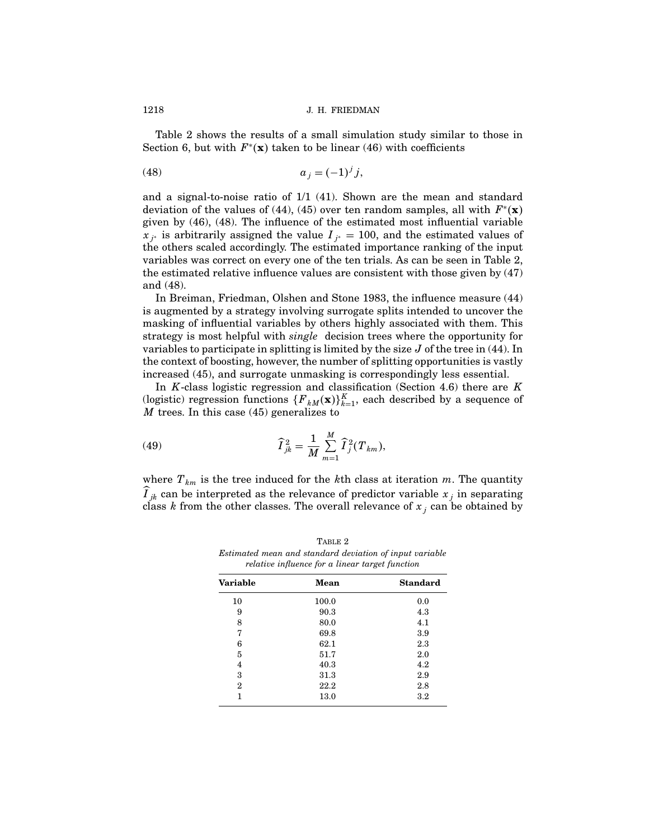Table 2 shows the results of a small simulation study similar to those in Section 6, but with  $F^*(\mathbf{x})$  taken to be linear (46) with coefficients

$$
(48) \t\t\t a_j = (-1)^j j,
$$

and a signal-to-noise ratio of  $1/1$  (41). Shown are the mean and standard deviation of the values of (44), (45) over ten random samples, all with  $F^*(\mathbf{x})$ given by  $(46)$ ,  $(48)$ . The influence of the estimated most influential variable  $x_{i*}$  is arbitrarily assigned the value  $I_{i*} = 100$ , and the estimated values of the others scaled accordingly. The estimated importance ranking of the input variables was correct on every one of the ten trials. As can be seen in Table 2, the estimated relative influence values are consistent with those given by (47) and (48).

In Breiman, Friedman, Olshen and Stone 1983, the influence measure (44) is augmented by a strategy involving surrogate splits intended to uncover the masking of influential variables by others highly associated with them. This strategy is most helpful with *single* decision trees where the opportunity for variables to participate in splitting is limited by the size  $J$  of the tree in (44). In the context of boosting, however, the number of splitting opportunities is vastly increased (45), and surrogate unmasking is correspondingly less essential.

In  $K$ -class logistic regression and classification (Section 4.6) there are  $K$ (logistic) regression functions  $\{F_{kM}(\mathbf{x})\}_{k=1}^K$ , each described by a sequence of M trees. In this case (45) generalizes to

(49) 
$$
\widehat{I}_{jk}^2 = \frac{1}{M} \sum_{m=1}^{M} \widehat{I}_j^2(T_{km}),
$$

where  $T_{km}$  is the tree induced for the kth class at iteration m. The quantity  $I_{jk}$  can be interpreted as the relevance of predictor variable  $x_j$  in separating class k from the other classes. The overall relevance of  $x_j$  can be obtained by

Table 2 Estimated mean and standard deviation of input variable relative influence for a linear target function

| Variable       | Mean  | <b>Standard</b> |  |
|----------------|-------|-----------------|--|
| 10             | 100.0 | 0.0             |  |
| 9              | 90.3  | 4.3             |  |
| 8              | 80.0  | 4.1             |  |
| 7              | 69.8  | 3.9             |  |
| 6              | 62.1  | 2.3             |  |
| 5              | 51.7  | 2.0             |  |
| 4              | 40.3  | 4.2             |  |
| 3              | 31.3  | 2.9             |  |
| $\overline{2}$ | 22.2  | 2.8             |  |
| 1              | 13.0  | 3.2             |  |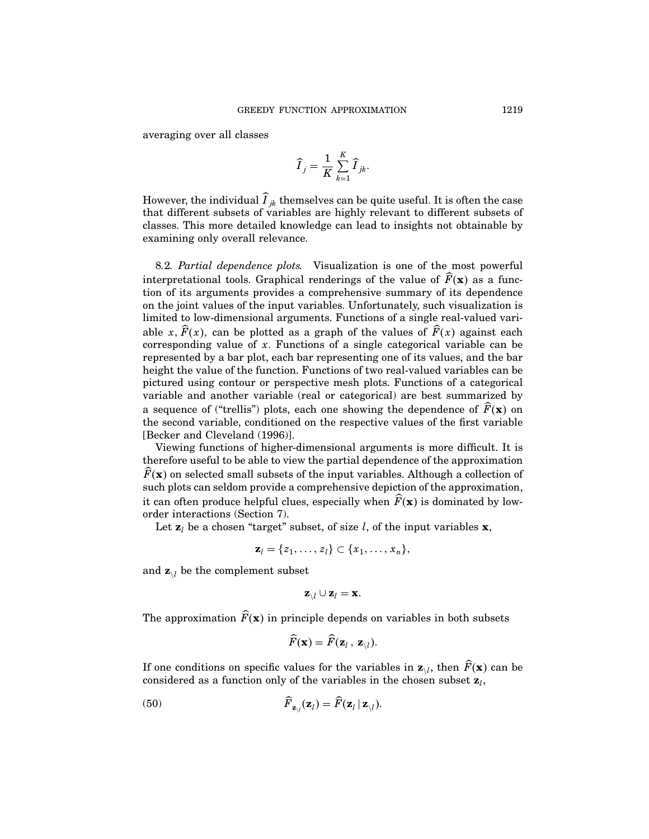averaging over all classes

$$
\widehat{I}_j = \frac{1}{K} \sum_{k=1}^K \widehat{I}_{jk}.
$$

However, the individual  $I_{jk}$  themselves can be quite useful. It is often the case that different subsets of variables are highly relevant to different subsets of classes. This more detailed knowledge can lead to insights not obtainable by examining only overall relevance.

8.2. Partial dependence plots. Visualization is one of the most powerful interpretational tools. Graphical renderings of the value of  $\widehat{F}(\mathbf{x})$  as a function of its arguments provides a comprehensive summary of its dependence on the joint values ofthe input variables. Unfortunately, such visualization is limited to low-dimensional arguments. Functions of a single real-valued variable x,  $\widehat{F}(x)$ , can be plotted as a graph of the values of  $\widehat{F}(x)$  against each corresponding value of  $x$ . Functions of a single categorical variable can be represented by a bar plot, each bar representing one of its values, and the bar height the value of the function. Functions of two real-valued variables can be pictured using contour or perspective mesh plots. Functions of a categorical variable and another variable (real or categorical) are best summarized by a sequence of ("trellis") plots, each one showing the dependence of  $\widehat{F}(\mathbf{x})$  on the second variable, conditioned on the respective values of the first variable [Becker and Cleveland (1996)].

Viewing functions of higher-dimensional arguments is more difficult. It is therefore useful to be able to view the partial dependence of the approximation  $\overline{F}(\mathbf{x})$  on selected small subsets of the input variables. Although a collection of such plots can seldom provide a comprehensive depiction of the approximation, it can often produce helpful clues, especially when  $\widehat{F}(\mathbf{x})$  is dominated by loworder interactions (Section 7).

Let  $z_l$  be a chosen "target" subset, of size l, of the input variables  $x$ ,

$$
\mathbf{z}_l = \{z_1, \ldots, z_l\} \subset \{x_1, \ldots, x_n\},\
$$

and  $\mathbf{z}_{\backslash l}$  be the complement subset

$$
\mathbf{z}_{\backslash l}\cup \mathbf{z}_l=\mathbf{x}.
$$

The approximation  $\widehat{F}(\mathbf{x})$  in principle depends on variables in both subsets

$$
\widehat{F}(\mathbf{x}) = \widehat{F}(\mathbf{z}_l, \, \mathbf{z}_{\setminus l}).
$$

If one conditions on specific values for the variables in  $\mathbf{z}_{\setminus l}$ , then  $\widehat{F}(\mathbf{x})$  can be considered as a function only of the variables in the chosen subset  $z_l$ ,

(50) 
$$
\widehat{F}_{\mathbf{z}_{\setminus l}}(\mathbf{z}_l) = \widehat{F}(\mathbf{z}_l | \mathbf{z}_{\setminus l}).
$$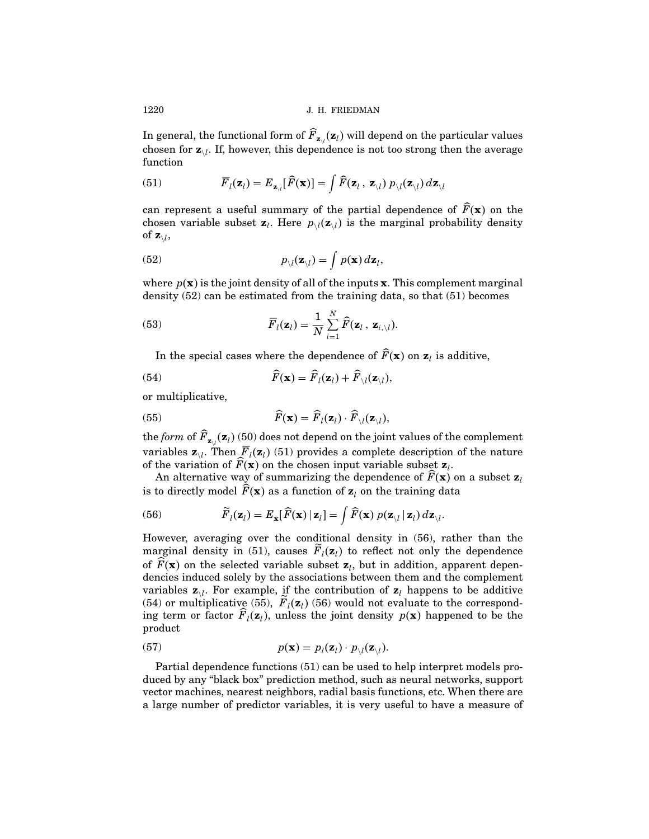In general, the functional form of  $F_{\mathbf{z}_{\setminus l}}(\mathbf{z}_l)$  will depend on the particular values chosen for  $z_{\backslash l}$ . If, however, this dependence is not too strong then the average function

(51) 
$$
\overline{F}_l(\mathbf{z}_l) = E_{\mathbf{z}_{\setminus l}}[\widehat{F}(\mathbf{x})] = \int \widehat{F}(\mathbf{z}_l \, , \, \mathbf{z}_{\setminus l}) \, p_{\setminus l}(\mathbf{z}_{\setminus l}) \, d\mathbf{z}_{\setminus l}
$$

can represent a useful summary of the partial dependence of  $\widehat{F}(\mathbf{x})$  on the chosen variable subset  $\mathbf{z}_l$ . Here  $p_{\setminus l}(\mathbf{z}_{\setminus l})$  is the marginal probability density of  $\mathbf{z}_{\setminus I}$ ,

(52) 
$$
p_{\setminus l}(\mathbf{z}_{\setminus l}) = \int p(\mathbf{x}) d\mathbf{z}_l,
$$

where  $p(\mathbf{x})$  is the joint density of all of the inputs  $\mathbf{x}$ . This complement marginal density (52) can be estimated from the training data, so that (51) becomes

(53) 
$$
\overline{F}_l(\mathbf{z}_l) = \frac{1}{N} \sum_{i=1}^N \widehat{F}(\mathbf{z}_l, \mathbf{z}_{i,\backslash l}).
$$

In the special cases where the dependence of  $\widehat{F}(\mathbf{x})$  on  $\mathbf{z}_l$  is additive,

(54) 
$$
\widehat{F}(\mathbf{x}) = \widehat{F}_l(\mathbf{z}_l) + \widehat{F}_{\setminus l}(\mathbf{z}_{\setminus l}),
$$

or multiplicative,

(55) 
$$
\widehat{F}(\mathbf{x}) = \widehat{F}_l(\mathbf{z}_l) \cdot \widehat{F}_{\setminus l}(\mathbf{z}_{\setminus l}),
$$

the *form* of  $F_{\mathbf{z}_{\setminus l}}(\mathbf{z}_l)$  (50) does not depend on the joint values of the complement variables  $\mathbf{z}_{\backslash l}$ . Then  $\overline{F}_l(\mathbf{z}_l)$  (51) provides a complete description of the nature of the variation of  $\widehat{F}(\mathbf{x})$  on the chosen input variable subset  $\mathbf{z}_l$ .

An alternative way of summarizing the dependence of  $\widehat{F}(\mathbf{x})$  on a subset  $\mathbf{z}_l$ is to directly model  $\widehat{F}(\mathbf{x})$  as a function of  $\mathbf{z}_l$  on the training data

(56) 
$$
\widetilde{F}_l(\mathbf{z}_l) = E_{\mathbf{x}}[\widehat{F}(\mathbf{x}) \mid \mathbf{z}_l] = \int \widehat{F}(\mathbf{x}) p(\mathbf{z}_{\backslash l} \mid \mathbf{z}_l) d\mathbf{z}_{\backslash l}.
$$

However, averaging over the conditional density in (56), rather than the marginal density in (51), causes  $F_l(z_l)$  to reflect not only the dependence of  $\widehat{F}(\mathbf{x})$  on the selected variable subset  $\mathbf{z}_l$ , but in addition, apparent dependencies induced solely by the associations between them and the complement variables  $z_{\lambda l}$ . For example, if the contribution of  $z_l$  happens to be additive (54) or multiplicative (55),  $\vec{F}_l(\mathbf{z}_l)$  (56) would not evaluate to the corresponding term or factor  $\widehat{F}_l(\mathbf{z}_l)$ , unless the joint density  $p(\mathbf{x})$  happened to be the product

(57) 
$$
p(\mathbf{x}) = p_l(\mathbf{z}_l) \cdot p_{\backslash l}(\mathbf{z}_{\backslash l}).
$$

Partial dependence functions (51) can be used to help interpret models produced by any "black box" prediction method, such as neural networks, support vector machines, nearest neighbors, radial basis functions, etc. When there are a large number of predictor variables, it is very useful to have a measure of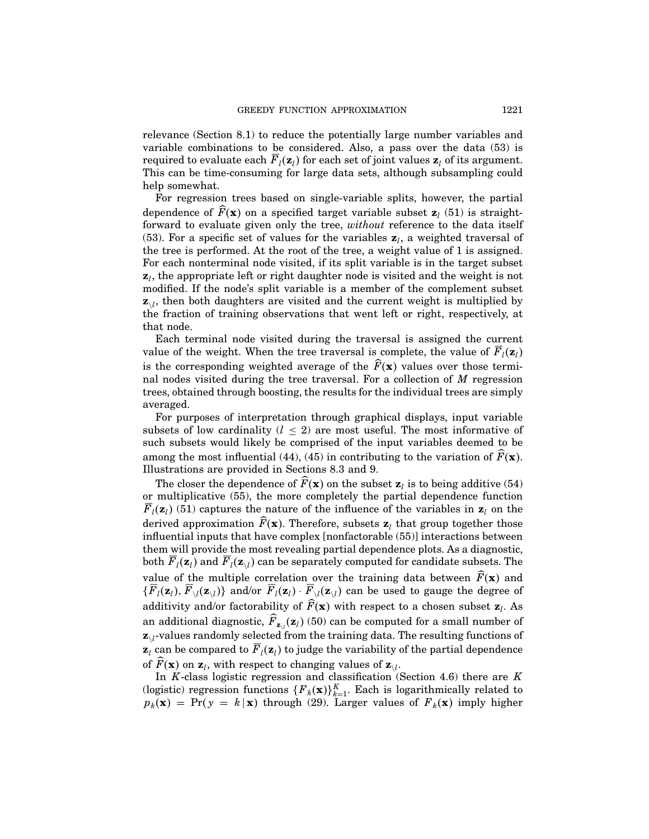relevance (Section 8.1) to reduce the potentially large number variables and variable combinations to be considered. Also, a pass over the data (53) is required to evaluate each  $\overline{F}_l(\mathbf{z}_l)$  for each set of joint values  $\mathbf{z}_l$  of its argument. This can be time-consuming for large data sets, although subsampling could help somewhat.

For regression trees based on single-variable splits, however, the partial dependence of  $\widehat{F}(\mathbf{x})$  on a specified target variable subset  $\mathbf{z}_i$  (51) is straightforward to evaluate given only the tree, without reference to the data itself (53). For a specific set of values for the variables  $z<sub>l</sub>$ , a weighted traversal of the tree is performed. At the root of the tree, a weight value of  $1$  is assigned. For each nonterminal node visited, if its split variable is in the target subset  $z<sub>l</sub>$ , the appropriate left or right daughter node is visited and the weight is not modified. If the node's split variable is a member of the complement subset  $z_{\lambda}$ , then both daughters are visited and the current weight is multiplied by the fraction of training observations that went left or right, respectively, at that node.

Each terminal node visited during the traversal is assigned the current value of the weight. When the tree traversal is complete, the value of  $\overline{F}_i(\mathbf{z}_i)$ is the corresponding weighted average of the  $\widehat{F}(\mathbf{x})$  values over those terminal nodes visited during the tree traversal. For a collection of M regression trees, obtained through boosting, the results for the individual trees are simply averaged.

For purposes of interpretation through graphical displays, input variable subsets of low cardinality  $(l \leq 2)$  are most useful. The most informative of such subsets would likely be comprised of the input variables deemed to be among the most influential (44), (45) in contributing to the variation of  $\widehat{F}(\mathbf{x})$ . Illustrations are provided in Sections 8.3 and 9.

The closer the dependence of  $\widehat{F}(\mathbf{x})$  on the subset  $\mathbf{z}_i$  is to being additive (54) or multiplicative (55), the more completely the partial dependence function  $\overline{F}_l(\mathbf{z}_l)$  (51) captures the nature of the influence of the variables in  $\mathbf{z}_l$  on the derived approximation  $\widehat{F}(\mathbf{x})$ . Therefore, subsets  $\mathbf{z}_l$  that group together those influential inputs that have complex [nonfactorable (55)] interactions between them will provide the most revealing partial dependence plots. As a diagnostic, both  $F_l(\mathbf{z}_l)$  and  $F_l(\mathbf{z}_{l})$  can be separately computed for candidate subsets. The value of the multiple correlation over the training data between  $\widehat{F}(\mathbf{x})$  and  $\{F_l(\mathbf{z}_l), F_{\setminus l}(\mathbf{z}_{\setminus l})\}$  and/or  $F_l(\mathbf{z}_l) \cdot F_{\setminus l}(\mathbf{z}_{\setminus l})$  can be used to gauge the degree of additivity and/or factorability of  $\widehat{F}(\mathbf{x})$  with respect to a chosen subset  $\mathbf{z}_l$ . As an additional diagnostic,  $F_{z\downarrow}(z_l)$  (50) can be computed for a small number of  $z_{\lambda}$ -values randomly selected from the training data. The resulting functions of  $z_l$  can be compared to  $\overline{F}_l(z_l)$  to judge the variability of the partial dependence of  $\widehat{F}(\mathbf{x})$  on  $\mathbf{z}_l$ , with respect to changing values of  $\mathbf{z}_{\setminus l}$ .

In  $K$ -class logistic regression and classification (Section 4.6) there are  $K$ (logistic) regression functions  $\{F_k(\mathbf{x})\}_{k=1}^K$ . Each is logarithmically related to  $p_k(\mathbf{x}) = \Pr(y = k | \mathbf{x})$  through (29). Larger values of  $F_k(\mathbf{x})$  imply higher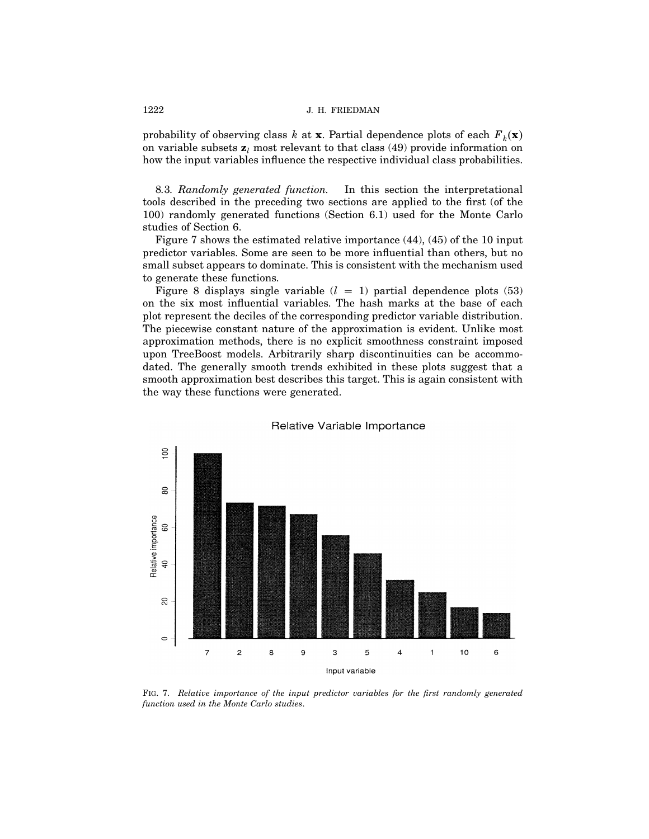probability of observing class k at **x**. Partial dependence plots of each  $F_k(\mathbf{x})$ on variable subsets  $z_i$  most relevant to that class (49) provide information on how the input variables influence the respective individual class probabilities.

8.3. Randomly generated function. In this section the interpretational tools described in the preceding two sections are applied to the first (of the 100) randomly generated functions (Section 6.1) used for the Monte Carlo studies of Section 6.

Figure 7 shows the estimated relative importance  $(44)$ ,  $(45)$  of the 10 input predictor variables. Some are seen to be more influential than others, but no small subset appears to dominate. This is consistent with the mechanism used to generate these functions.

Figure 8 displays single variable  $(l = 1)$  partial dependence plots (53) on the six most influential variables. The hash marks at the base of each plot represent the deciles of the corresponding predictor variable distribution. The piecewise constant nature of the approximation is evident. Unlike most approximation methods, there is no explicit smoothness constraint imposed upon TreeBoost models. Arbitrarily sharp discontinuities can be accommodated. The generally smooth trends exhibited in these plots suggest that a smooth approximation best describes this target. This is again consistent with the way these functions were generated.



## Relative Variable Importance

Fig. 7. Relative importance of the input predictor variables for the first randomly generated function used in the Monte Carlo studies.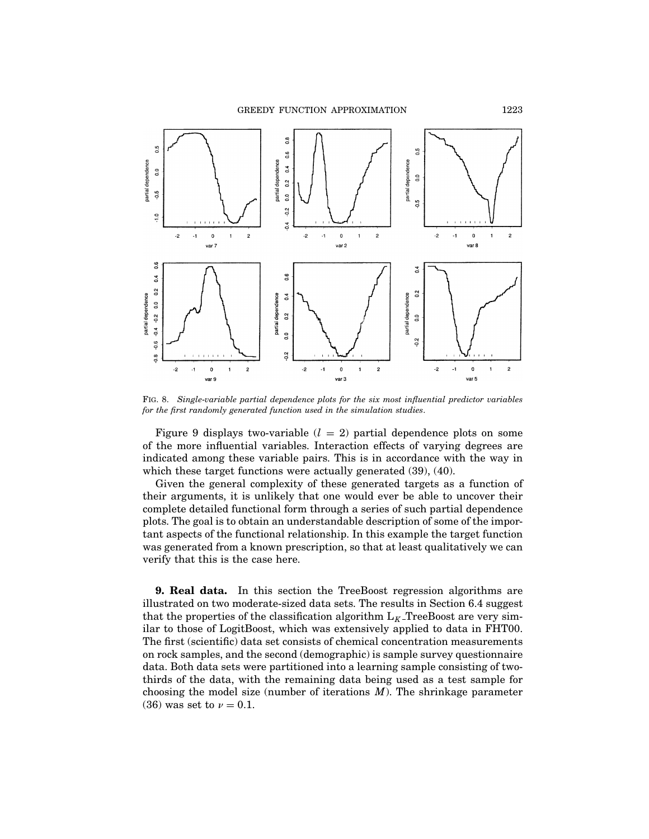GREEDY FUNCTION APPROXIMATION 1223



Fig. 8. Single-variable partial dependence plots for the six most influential predictor variables for the first randomly generated function used in the simulation studies.

Figure 9 displays two-variable  $(l = 2)$  partial dependence plots on some of the more influential variables. Interaction effects of varying degrees are indicated among these variable pairs. This is in accordance with the way in which these target functions were actually generated (39), (40).

Given the general complexity of these generated targets as a function of their arguments, it is unlikely that one would ever be able to uncover their complete detailed functional form through a series of such partial dependence plots. The goal is to obtain an understandable description of some of the important aspects of the functional relationship. In this example the target function was generated from a known prescription, so that at least qualitatively we can verify that this is the case here.

9. Real data. In this section the TreeBoost regression algorithms are illustrated on two moderate-sized data sets. The results in Section 6.4 suggest that the properties of the classification algorithm  $L_K$ -TreeBoost are very similar to those of LogitBoost, which was extensively applied to data in FHT00. The first (scientific) data set consists of chemical concentration measurements on rock samples, and the second (demographic) is sample survey questionnaire data. Both data sets were partitioned into a learning sample consisting of twothirds of the data, with the remaining data being used as a test sample for choosing the model size (number of iterations  $M$ ). The shrinkage parameter (36) was set to  $\nu = 0.1$ .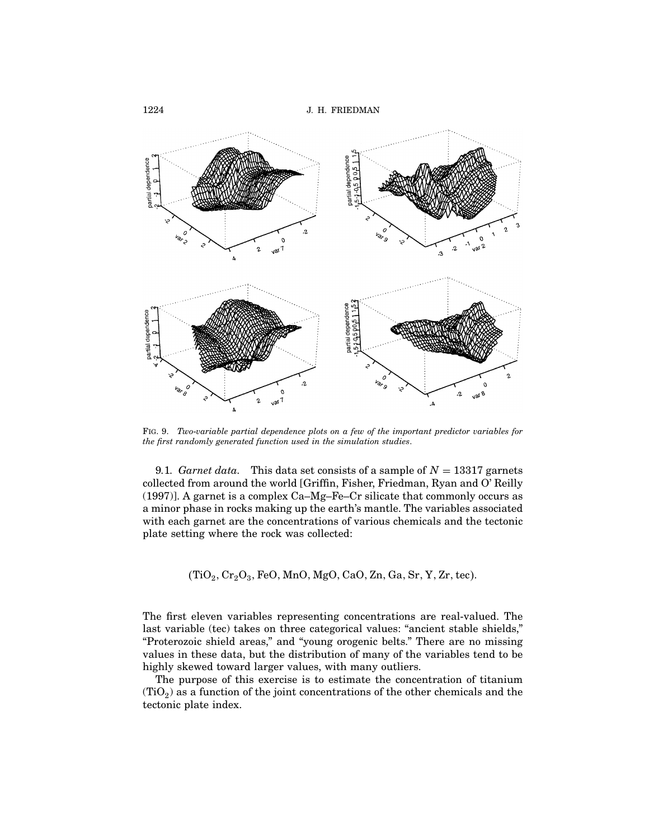

Fig. 9. Two-variable partial dependence plots on a few of the important predictor variables for the first randomly generated function used in the simulation studies.

9.1. Garnet data. This data set consists of a sample of  $N = 13317$  garnets collected from around the world [Griffin, Fisher, Friedman, Ryan and O' Reilly (1997)]. A garnet is a complex Ca–Mg–Fe–Cr silicate that commonly occurs as a minor phase in rocks making up the earth's mantle. The variables associated with each garnet are the concentrations of various chemicals and the tectonic plate setting where the rock was collected:

 $(TiO<sub>2</sub>, Cr<sub>2</sub>O<sub>3</sub>, FeO, MnO, MgO, CaO, Zn, Ga, Sr, Y, Zr, tec).$ 

The first eleven variables representing concentrations are real-valued. The last variable (tec) takes on three categorical values: "ancient stable shields," "Proterozoic shield areas," and "young orogenic belts." There are no missing values in these data, but the distribution of many of the variables tend to be highly skewed toward larger values, with many outliers.

The purpose of this exercise is to estimate the concentration of titanium  $(TiO<sub>2</sub>)$  as a function of the joint concentrations of the other chemicals and the tectonic plate index.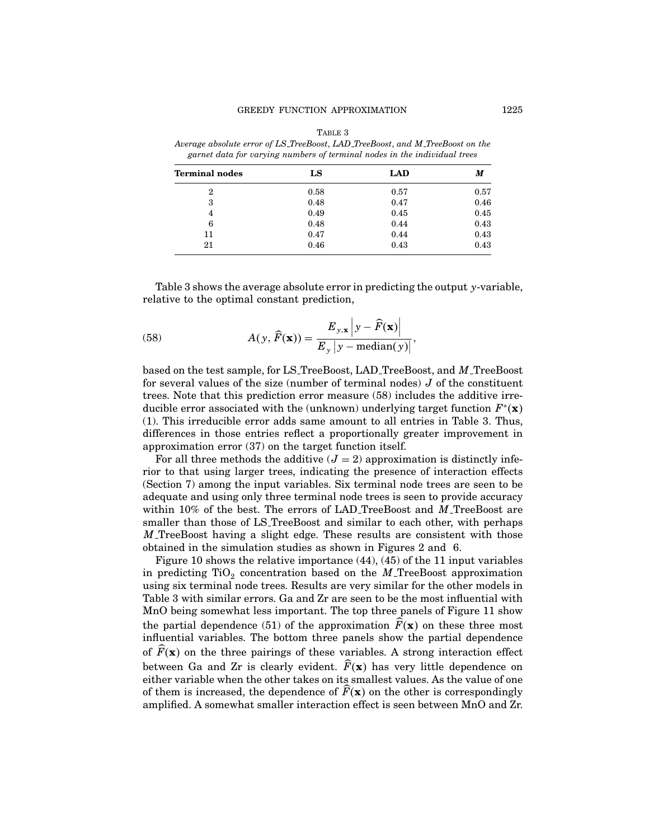| Average absolute error of LS_TreeBoost, LAD_TreeBoost, and M_TreeBoost on the<br>garnet data for varying numbers of terminal nodes in the individual trees |      |      |      |  |
|------------------------------------------------------------------------------------------------------------------------------------------------------------|------|------|------|--|
| Terminal nodes                                                                                                                                             | LS   | LAD  | M    |  |
| 2                                                                                                                                                          | 0.58 | 0.57 | 0.57 |  |
| 3                                                                                                                                                          | 0.48 | 0.47 | 0.46 |  |
| 4                                                                                                                                                          | 0.49 | 0.45 | 0.45 |  |
| 6                                                                                                                                                          | 0.48 | 0.44 | 0.43 |  |
|                                                                                                                                                            | 0.47 | 0.44 | 0.43 |  |

21 0.46 0.43 0.43 0.43

TABLE 3 Average absolute error of LS TreeBoost, LAD TreeBoost, and M TreeBoost on the

Table 3 shows the average absolute error in predicting the output y-variable, relative to the optimal constant prediction,

(58) 
$$
A(y, \widehat{F}(\mathbf{x})) = \frac{E_{y, \mathbf{x}} \left| y - \widehat{F}(\mathbf{x}) \right|}{E_y \left| y - \text{median}(y) \right|},
$$

based on the test sample, for LS TreeBoost, LAD TreeBoost, and M TreeBoost for several values of the size (number of terminal nodes)  $J$  of the constituent trees. Note that this prediction error measure (58) includes the additive irreducible error associated with the (unknown) underlying target function  $F^*(\mathbf{x})$ (1). This irreducible error adds same amount to all entries in Table 3. Thus, differences in those entries reflect a proportionally greater improvement in approximation error (37) on the target function itself.

For all three methods the additive  $(J = 2)$  approximation is distinctly inferior to that using larger trees, indicating the presence of interaction effects (Section 7) among the input variables. Six terminal node trees are seen to be adequate and using only three terminal node trees is seen to provide accuracy within  $10\%$  of the best. The errors of LAD TreeBoost and M TreeBoost are smaller than those of LS\_TreeBoost and similar to each other, with perhaps M TreeBoost having a slight edge. These results are consistent with those obtained in the simulation studies as shown in Figures 2 and 6.

Figure 10 shows the relative importance  $(44)$ ,  $(45)$  of the 11 input variables in predicting  $TiO<sub>2</sub>$  concentration based on the M TreeBoost approximation using six terminal node trees. Results are very similar for the other models in Table 3 with similar errors. Ga and Zr are seen to be the most influential with MnO being somewhat less important. The top three panels of Figure 11 show the partial dependence (51) of the approximation  $\widehat{F}(\mathbf{x})$  on these three most influential variables. The bottom three panels show the partial dependence of  $\widehat{F}(\mathbf{x})$  on the three pairings of these variables. A strong interaction effect between Ga and Zr is clearly evident.  $\widehat{F}(\mathbf{x})$  has very little dependence on either variable when the other takes on its smallest values. As the value of one of them is increased, the dependence of  $\overline{F}(\mathbf{x})$  on the other is correspondingly amplified. A somewhat smaller interaction effect is seen between MnO and Zr.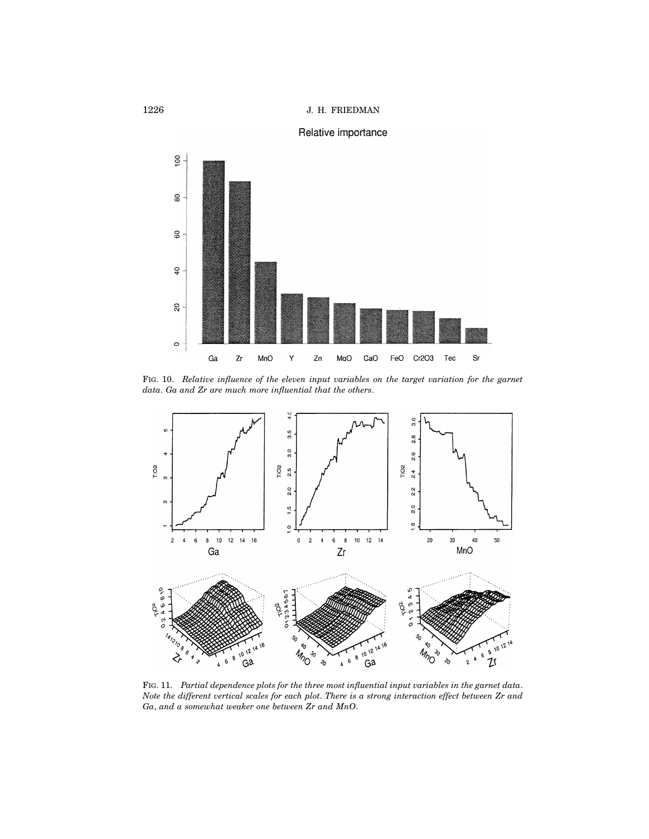# Relative importance



Fig. 10. Relative influence of the eleven input variables on the target variation for the garnet data. Ga and Zr are much more influential that the others.



Fig. 11. Partial dependence plots for the three most influential input variables in the garnet data. Note the different vertical scales for each plot. There is a strong interaction effect between Zr and Ga, and a somewhat weaker one between Zr and MnO.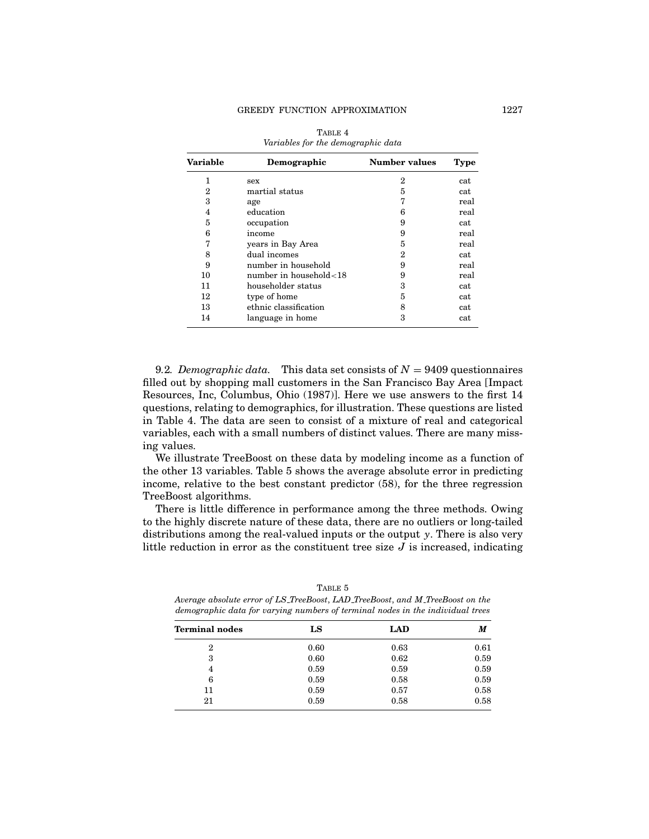| Variable | Demographic                | <b>Number values</b> | <b>Type</b> |
|----------|----------------------------|----------------------|-------------|
| 1        | sex                        | 2                    | cat         |
| 2        | martial status             | 5                    | cat         |
| 3        | age                        | 7                    | real        |
| 4        | education                  | 6                    | real        |
| 5        | occupation                 | 9                    | cat         |
| 6        | income                     | 9                    | real        |
| 7        | years in Bay Area          | 5                    | real        |
| 8        | dual incomes               | 2                    | cat         |
| 9        | number in household        | 9                    | real        |
| 10       | number in household $<$ 18 | 9                    | real        |
| 11       | householder status         | 3                    | cat         |
| 12       | type of home               | 5                    | cat         |
| 13       | ethnic classification      | 8                    | cat         |
| 14       | language in home           | 3                    | cat         |

| TABLE 4                            |  |
|------------------------------------|--|
| Variables for the demographic data |  |

9.2. Demographic data. This data set consists of  $N = 9409$  questionnaires filled out by shopping mall customers in the San Francisco Bay Area [Impact Resources, Inc, Columbus, Ohio (1987)]. Here we use answers to the first 14 questions, relating to demographics, for illustration. These questions are listed in Table 4. The data are seen to consist of a mixture of real and categorical variables, each with a small numbers of distinct values. There are many missing values.

We illustrate TreeBoost on these data by modeling income as a function of the other 13 variables. Table 5 shows the average absolute error in predicting income, relative to the best constant predictor (58), for the three regression TreeBoost algorithms.

There is little difference in performance among the three methods. Owing to the highly discrete nature of these data, there are no outliers or long-tailed distributions among the real-valued inputs or the output y. There is also very little reduction in error as the constituent tree size  $J$  is increased, indicating

| demographic data for varying numbers of terminal nodes in the individual trees |      |      |      |  |
|--------------------------------------------------------------------------------|------|------|------|--|
| <b>Terminal nodes</b>                                                          | LS   | LAD  | M    |  |
| 2                                                                              | 0.60 | 0.63 | 0.61 |  |
| 3                                                                              | 0.60 | 0.62 | 0.59 |  |
| 4                                                                              | 0.59 | 0.59 | 0.59 |  |
| 6                                                                              | 0.59 | 0.58 | 0.59 |  |
| 11                                                                             | 0.59 | 0.57 | 0.58 |  |
| 21                                                                             | 0.59 | 0.58 | 0.58 |  |

TABLE 5 Average absolute error of LS TreeBoost, LAD TreeBoost, and M TreeBoost on the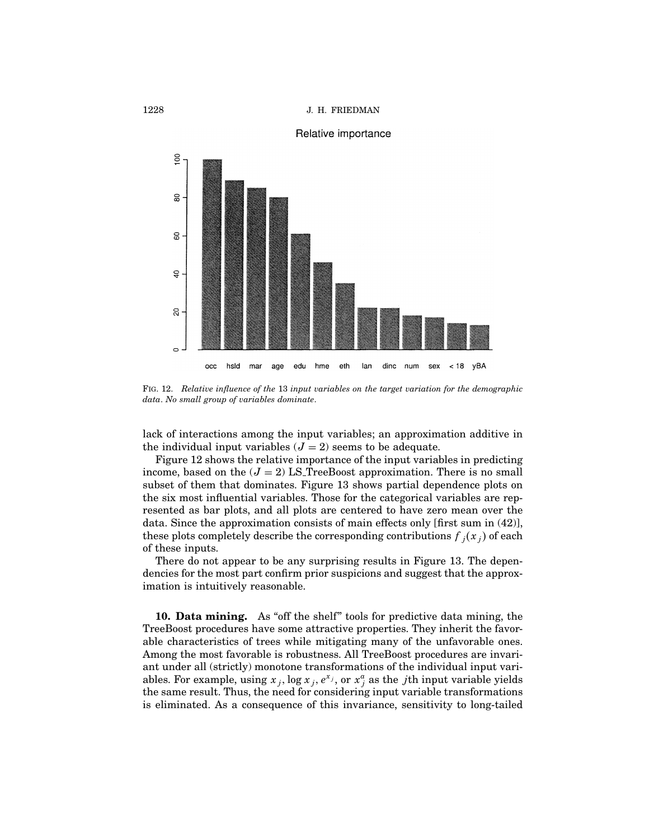

# Relative importance

Fig. 12. Relative influence of the 13 input variables on the target variation for the demographic data. No small group of variables dominate.

lack of interactions among the input variables; an approximation additive in the individual input variables  $(J = 2)$  seems to be adequate.

Figure 12 shows the relative importance of the input variables in predicting income, based on the  $(J = 2)$  LS TreeBoost approximation. There is no small subset of them that dominates. Figure 13 shows partial dependence plots on the six most influential variables. Those for the categorical variables are represented as bar plots, and all plots are centered to have zero mean over the data. Since the approximation consists of main effects only [first sum in (42)], these plots completely describe the corresponding contributions  $f_j(x_j)$  of each of these inputs.

There do not appear to be any surprising results in Figure 13. The dependencies for the most part confirm prior suspicions and suggest that the approximation is intuitively reasonable.

10. Data mining. As "off the shelf" tools for predictive data mining, the TreeBoost procedures have some attractive properties. They inherit the favorable characteristics of trees while mitigating many of the unfavorable ones. Among the most favorable is robustness. All TreeBoost procedures are invariant under all (strictly) monotone transformations of the individual input variables. For example, using  $x_j$ ,  $\log x_j$ ,  $e^{x_j}$ , or  $x_j^a$  as the *j*th input variable yields the same result. Thus, the need for considering input variable transformations is eliminated. As a consequence of this invariance, sensitivity to long-tailed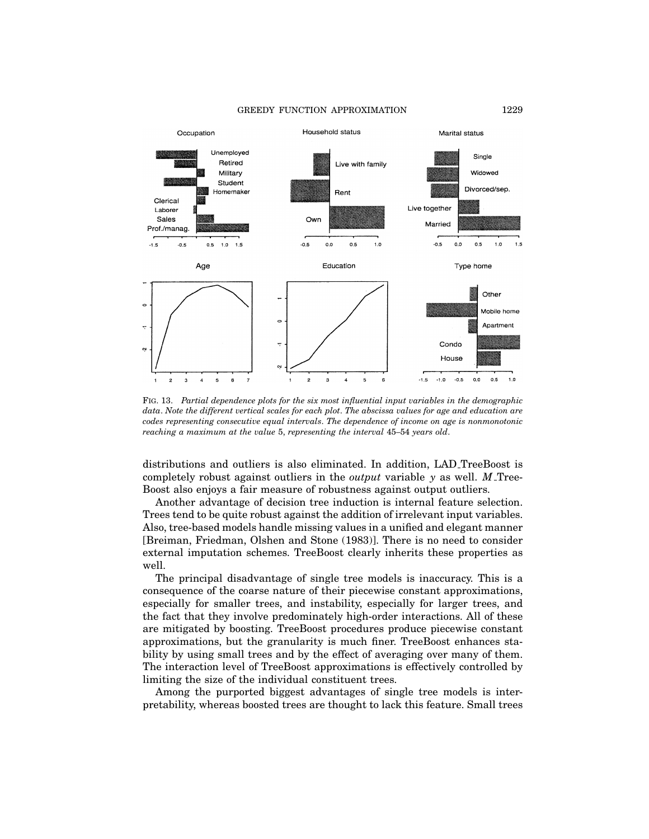#### GREEDY FUNCTION APPROXIMATION 1229



Fig. 13. Partial dependence plots for the six most influential input variables in the demographic data. Note the different vertical scales for each plot. The abscissa values for age and education are codes representing consecutive equal intervals. The dependence of income on age is nonmonotonic reaching a maximum at the value 5, representing the interval 45–54 years old.

distributions and outliers is also eliminated. In addition, LAD TreeBoost is completely robust against outliers in the *output* variable  $y$  as well.  $M$  Tree-Boost also enjoys a fair measure of robustness against output outliers.

Another advantage of decision tree induction is internal feature selection. Trees tend to be quite robust against the addition of irrelevant input variables. Also, tree-based models handle missing values in a unified and elegant manner [Breiman, Friedman, Olshen and Stone (1983)]. There is no need to consider external imputation schemes. TreeBoost clearly inherits these properties as well.

The principal disadvantage of single tree models is inaccuracy. This is a consequence of the coarse nature of their piecewise constant approximations, especially for smaller trees, and instability, especially for larger trees, and the fact that they involve predominately high-order interactions. All of these are mitigated by boosting. TreeBoost procedures produce piecewise constant approximations, but the granularity is much finer. TreeBoost enhances stability by using small trees and by the effect of averaging over many of them. The interaction level of TreeBoost approximations is effectively controlled by limiting the size of the individual constituent trees.

Among the purported biggest advantages of single tree models is interpretability, whereas boosted trees are thought to lack this feature. Small trees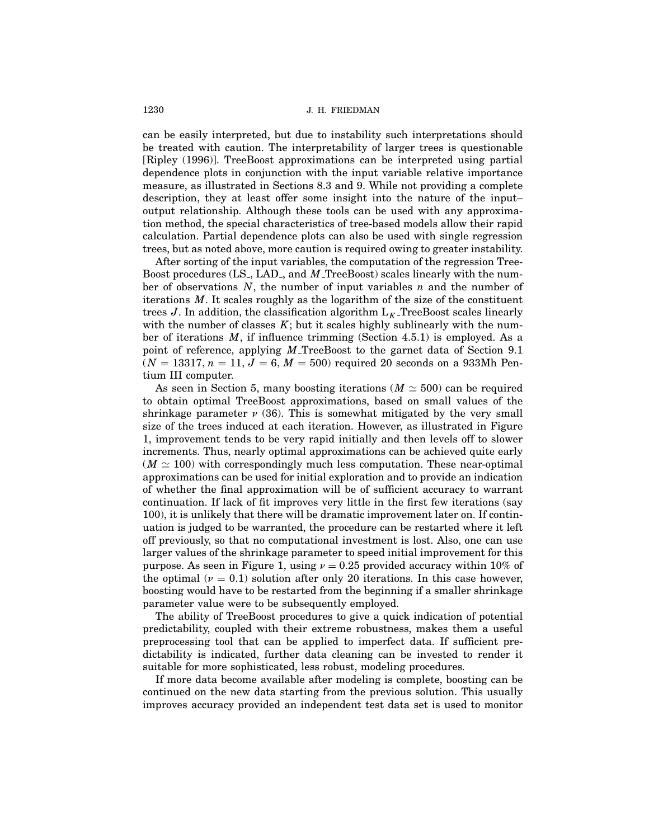can be easily interpreted, but due to instability such interpretations should be treated with caution. The interpretability of larger trees is questionable [Ripley (1996)]. TreeBoost approximations can be interpreted using partial dependence plots in conjunction with the input variable relative importance measure, as illustrated in Sections 8.3 and 9. While not providing a complete description, they at least offer some insight into the nature of the input– output relationship. Although these tools can be used with any approximation method, the special characteristics of tree-based models allow their rapid calculation. Partial dependence plots can also be used with single regression trees, but as noted above, more caution is required owing to greater instability.

After sorting of the input variables, the computation of the regression Tree-Boost procedures (LS<sub>-</sub>, LAD<sub>-</sub>, and M<sub>-</sub>TreeBoost) scales linearly with the number of observations  $N$ , the number of input variables n and the number of iterations  $M$ . It scales roughly as the logarithm of the size of the constituent trees J. In addition, the classification algorithm  $L_K$  TreeBoost scales linearly with the number of classes  $K$ ; but it scales highly sublinearly with the number of iterations  $M$ , if influence trimming (Section 4.5.1) is employed. As a point of reference, applying  $M$  TreeBoost to the garnet data of Section 9.1  $(N = 13317, n = 11, J = 6, M = 500)$  required 20 seconds on a 933Mh Pentium III computer.

As seen in Section 5, many boosting iterations ( $M \approx 500$ ) can be required to obtain optimal TreeBoost approximations, based on small values of the shrinkage parameter  $\nu$  (36). This is somewhat mitigated by the very small size of the trees induced at each iteration. However, as illustrated in Figure 1, improvement tends to be very rapid initially and then levels off to slower increments. Thus, nearly optimal approximations can be achieved quite early  $(M \simeq 100)$  with correspondingly much less computation. These near-optimal approximations can be used for initial exploration and to provide an indication of whether the final approximation will be of sufficient accuracy to warrant continuation. If lack of fit improves very little in the first few iterations (say 100), it is unlikely that there will be dramatic improvement later on. If continuation is judged to be warranted, the procedure can be restarted where it left off previously, so that no computational investment is lost. Also, one can use larger values of the shrinkage parameter to speed initial improvement for this purpose. As seen in Figure 1, using  $\nu = 0.25$  provided accuracy within 10% of the optimal ( $\nu = 0.1$ ) solution after only 20 iterations. In this case however, boosting would have to be restarted from the beginning if a smaller shrinkage parameter value were to be subsequently employed.

The ability of TreeBoost procedures to give a quick indication of potential predictability, coupled with their extreme robustness, makes them a useful preprocessing tool that can be applied to imperfect data. If sufficient predictability is indicated, further data cleaning can be invested to render it suitable for more sophisticated, less robust, modeling procedures.

If more data become available after modeling is complete, boosting can be continued on the new data starting from the previous solution. This usually improves accuracy provided an independent test data set is used to monitor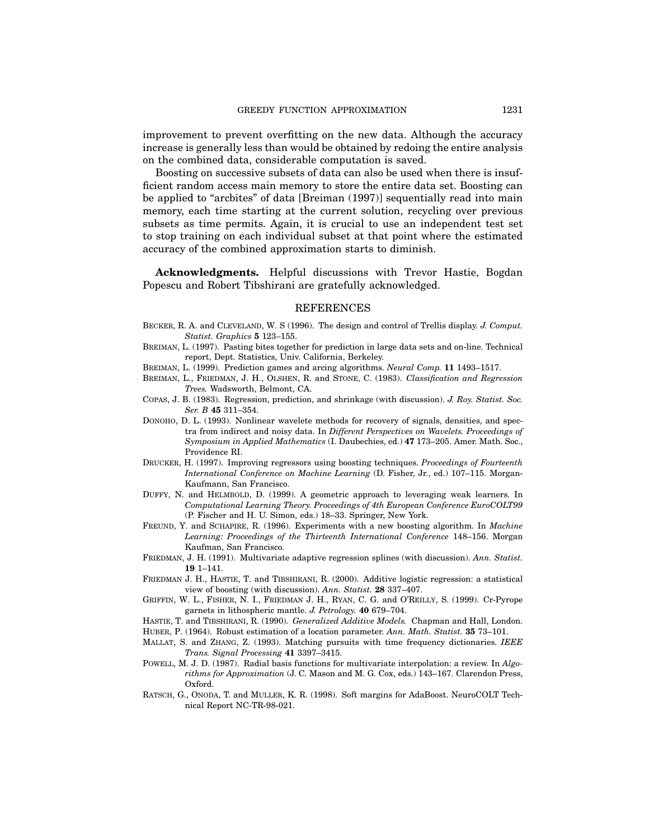improvement to prevent overfitting on the new data. Although the accuracy increase is generally less than would be obtained by redoing the entire analysis on the combined data, considerable computation is saved.

Boosting on successive subsets of data can also be used when there is insufficient random access main memory to store the entire data set. Boosting can be applied to "arcbites" of data [Breiman (1997)] sequentially read into main memory, each time starting at the current solution, recycling over previous subsets as time permits. Again, it is crucial to use an independent test set to stop training on each individual subset at that point where the estimated accuracy of the combined approximation starts to diminish.

Acknowledgments. Helpful discussions with Trevor Hastie, Bogdan Popescu and Robert Tibshirani are gratefully acknowledged.

### REFERENCES

- BECKER, R. A. and CLEVELAND, W. S (1996). The design and control of Trellis display. J. Comput. Statist. Graphics 5 123–155.
- Breiman, L. (1997). Pasting bites together for prediction in large data sets and on-line. Technical report, Dept. Statistics, Univ. California, Berkeley.
- Breiman, L. (1999). Prediction games and arcing algorithms. Neural Comp. 11 1493–1517.
- BREIMAN, L., FRIEDMAN, J. H., OLSHEN, R. and STONE, C. (1983). Classification and Regression Trees. Wadsworth, Belmont, CA.
- Copas, J. B. (1983). Regression, prediction, and shrinkage (with discussion). J. Roy. Statist. Soc. Ser. B 45 311–354.
- Donoho, D. L. (1993). Nonlinear wavelete methods for recovery of signals, densities, and spectra from indirect and noisy data. In Different Perspectives on Wavelets. Proceedings of Symposium in Applied Mathematics (I. Daubechies, ed.) 47 173–205. Amer. Math. Soc., Providence RI.
- Drucker, H. (1997). Improving regressors using boosting techniques. Proceedings of Fourteenth International Conference on Machine Learning (D. Fisher, Jr., ed.) 107–115. Morgan-Kaufmann, San Francisco.
- Duffy, N. and Helmbold, D. (1999). A geometric approach to leveraging weak learners. In Computational Learning Theory. Proceedings of 4th European Conference EuroCOLT99 (P. Fischer and H. U. Simon, eds.) 18–33. Springer, New York.
- FREUND, Y. and SCHAPIRE, R. (1996). Experiments with a new boosting algorithm. In *Machine* Learning: Proceedings of the Thirteenth International Conference 148–156. Morgan Kaufman, San Francisco.
- FRIEDMAN, J. H. (1991). Multivariate adaptive regression splines (with discussion). Ann. Statist. 19 1–141.
- Friedman J. H., Hastie, T. and Tibshirani, R. (2000). Additive logistic regression: a statistical view of boosting (with discussion). Ann. Statist. 28 337-407.
- Griffin, W. L., Fisher, N. I., Friedman J. H., Ryan, C. G. and O'Reilly, S. (1999). Cr-Pyrope garnets in lithospheric mantle. J. Petrology. 40 679–704.
- HASTIE, T. and TIBSHIRANI, R. (1990). Generalized Additive Models. Chapman and Hall, London. HUBER, P. (1964). Robust estimation of a location parameter. Ann. Math. Statist. 35 73-101.
- MALLAT, S. and ZHANG, Z. (1993). Matching pursuits with time frequency dictionaries. IEEE
- Trans. Signal Processing 41 3397–3415.
- POWELL, M. J. D. (1987). Radial basis functions for multivariate interpolation: a review. In Algorithms for Approximation (J. C. Mason and M. G. Cox, eds.) 143–167. Clarendon Press, Oxford.
- Ratsch, G., Onoda, T. and Muller, K. R. (1998). Soft margins for AdaBoost. NeuroCOLT Technical Report NC-TR-98-021.